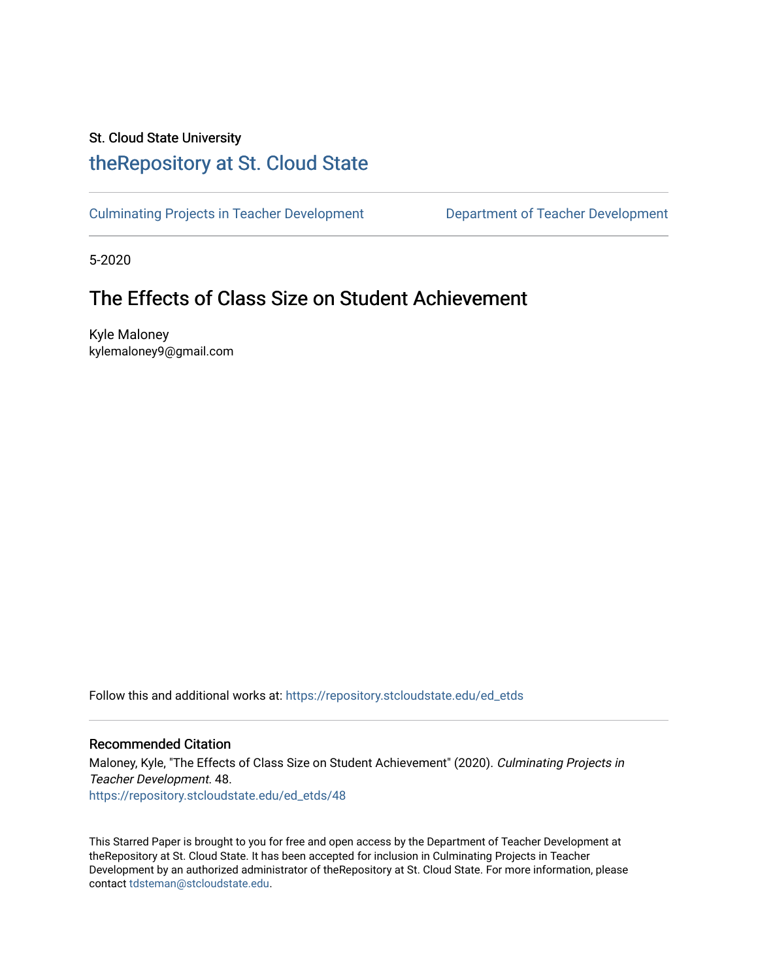# St. Cloud State University

# [theRepository at St. Cloud State](https://repository.stcloudstate.edu/)

[Culminating Projects in Teacher Development](https://repository.stcloudstate.edu/ed_etds) [Department of Teacher Development](https://repository.stcloudstate.edu/ed) 

5-2020

# The Effects of Class Size on Student Achievement

Kyle Maloney kylemaloney9@gmail.com

Follow this and additional works at: [https://repository.stcloudstate.edu/ed\\_etds](https://repository.stcloudstate.edu/ed_etds?utm_source=repository.stcloudstate.edu%2Fed_etds%2F48&utm_medium=PDF&utm_campaign=PDFCoverPages)

# Recommended Citation

Maloney, Kyle, "The Effects of Class Size on Student Achievement" (2020). Culminating Projects in Teacher Development. 48. [https://repository.stcloudstate.edu/ed\\_etds/48](https://repository.stcloudstate.edu/ed_etds/48?utm_source=repository.stcloudstate.edu%2Fed_etds%2F48&utm_medium=PDF&utm_campaign=PDFCoverPages) 

This Starred Paper is brought to you for free and open access by the Department of Teacher Development at theRepository at St. Cloud State. It has been accepted for inclusion in Culminating Projects in Teacher Development by an authorized administrator of theRepository at St. Cloud State. For more information, please contact [tdsteman@stcloudstate.edu.](mailto:tdsteman@stcloudstate.edu)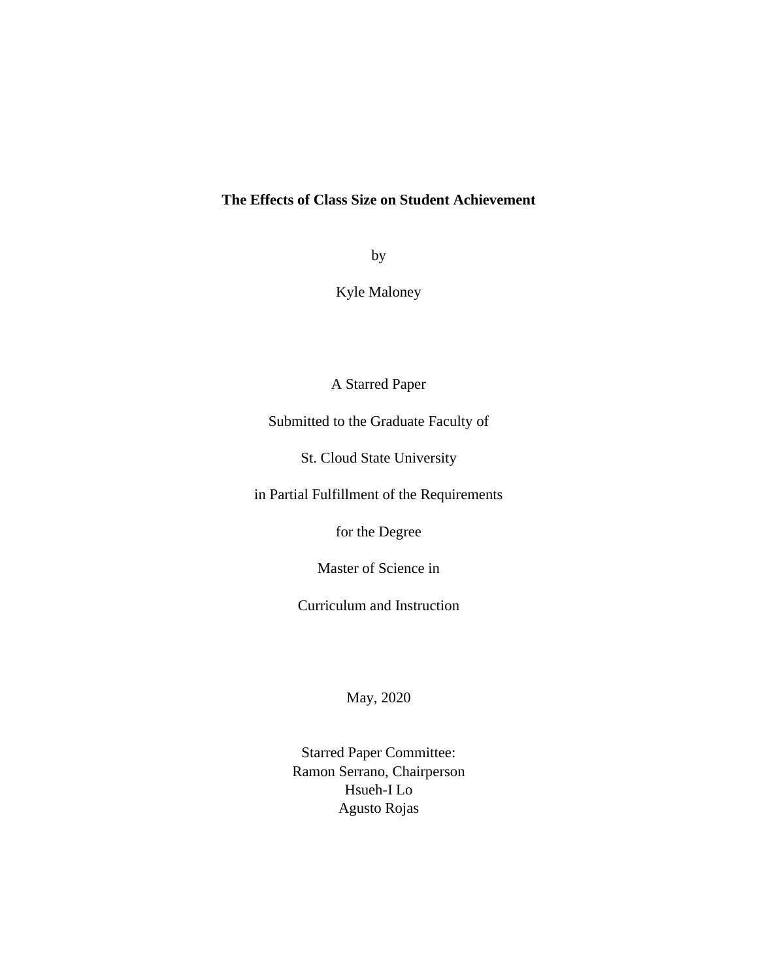# **The Effects of Class Size on Student Achievement**

by

Kyle Maloney

A Starred Paper

Submitted to the Graduate Faculty of

St. Cloud State University

in Partial Fulfillment of the Requirements

for the Degree

Master of Science in

Curriculum and Instruction

May, 2020

Starred Paper Committee: Ramon Serrano, Chairperson Hsueh-I Lo Agusto Rojas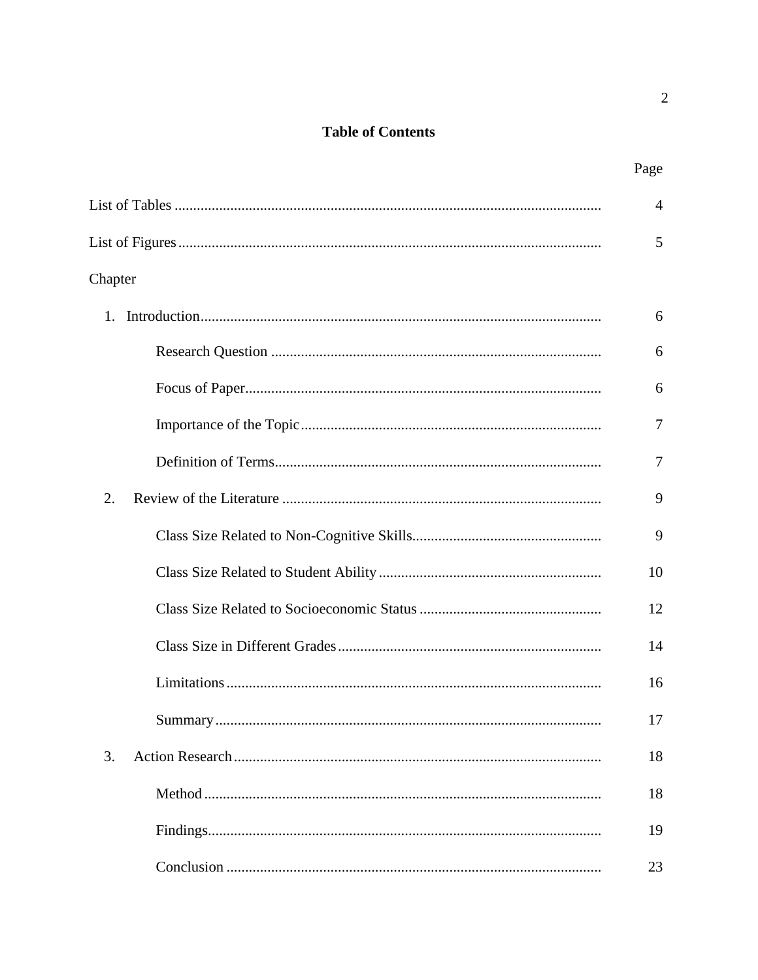# **Table of Contents**

|         | $\overline{4}$ |
|---------|----------------|
|         | 5              |
| Chapter |                |
| 1.      | 6              |
|         | 6              |
|         | 6              |
|         | 7              |
|         | 7              |
| 2.      | 9              |
|         | 9              |
|         | 10             |
|         | 12             |
|         | 14             |
|         | 16             |
|         | 17             |
| 3.      | 18             |
|         | 18             |
|         | 19             |
|         | 23             |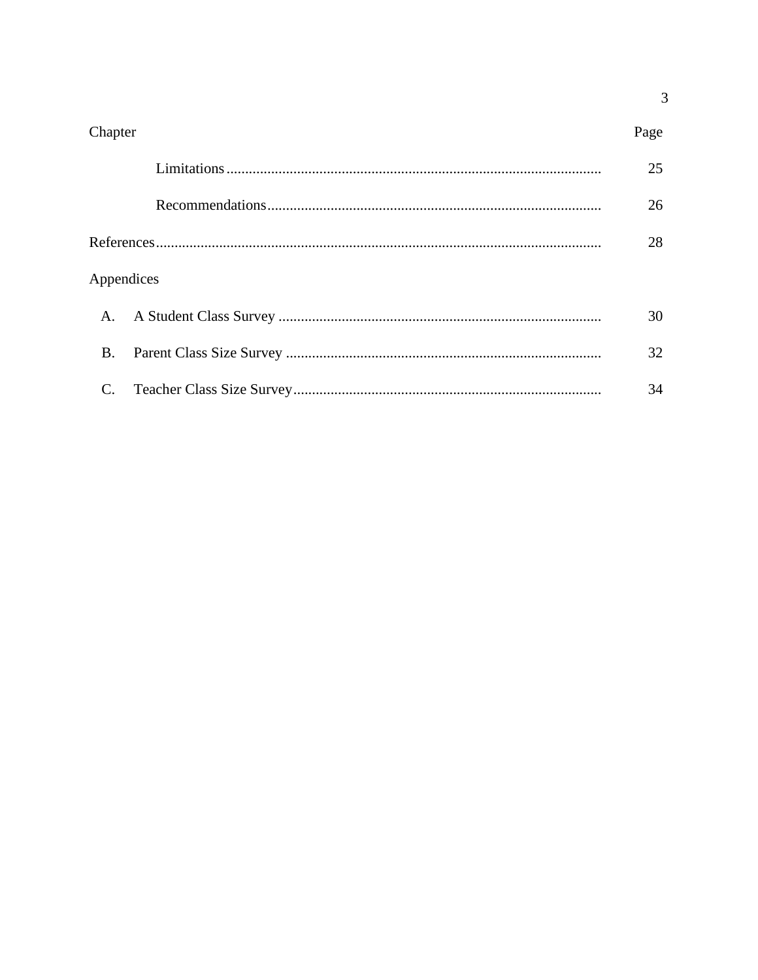| Chapter        | Page |
|----------------|------|
|                | 25   |
|                | 26   |
|                | 28   |
| Appendices     |      |
| $\mathsf{A}$ . | 30   |
| <b>B.</b>      | 32   |
| C.             | 34   |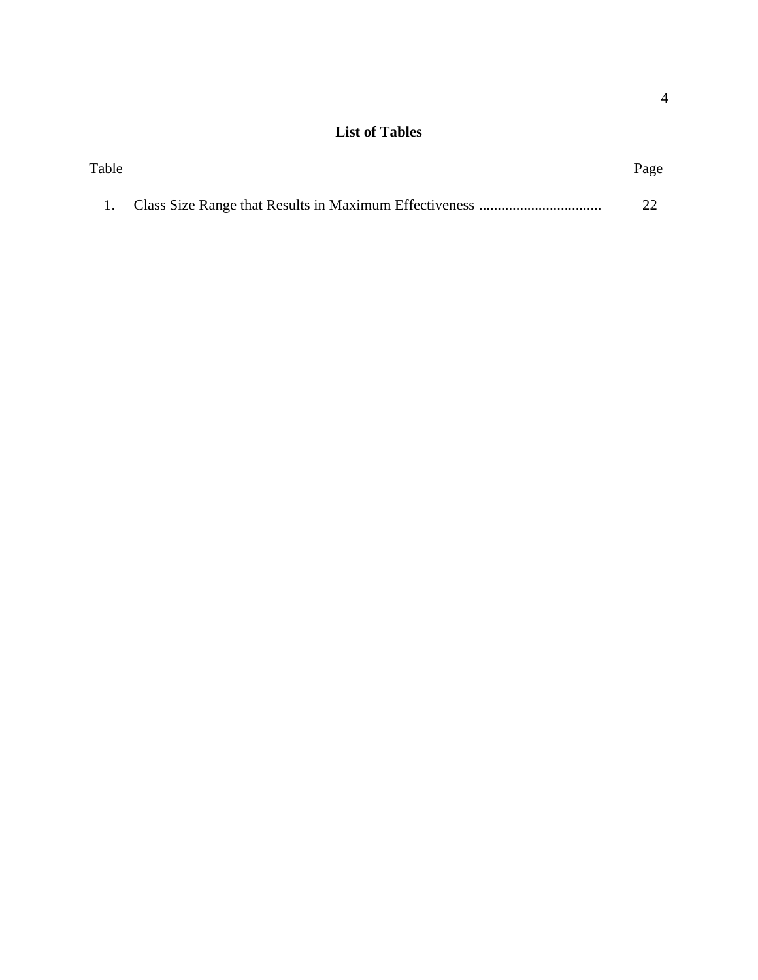# **List of Tables**

| Table |  | Page |  |
|-------|--|------|--|
|       |  |      |  |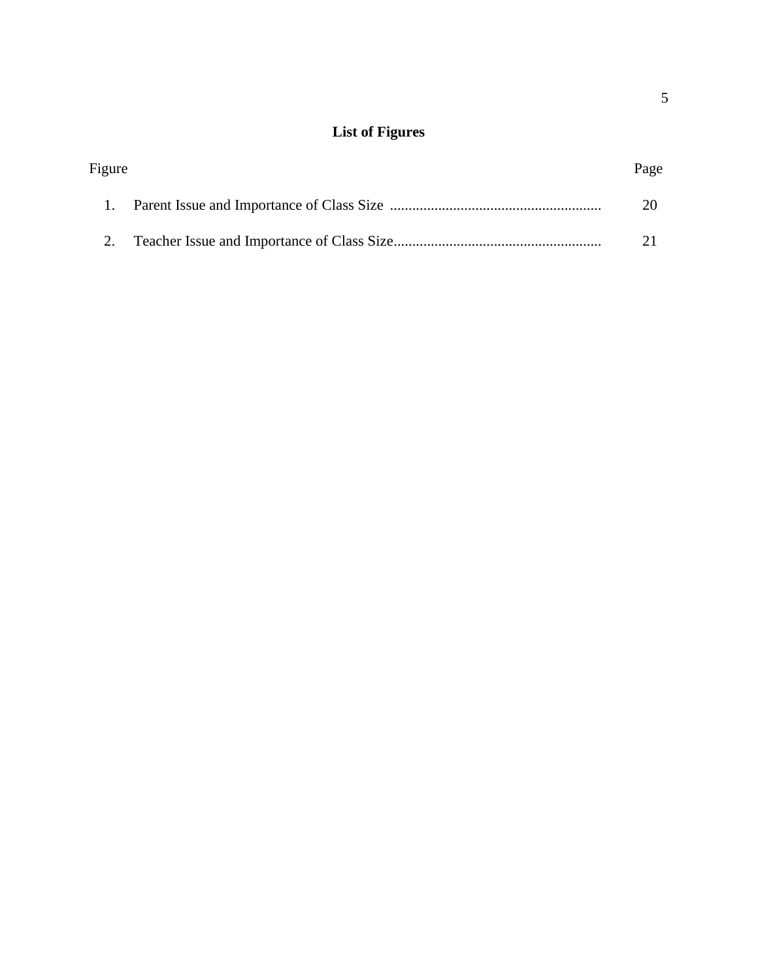# **List of Figures**

| Figure | Page |
|--------|------|
|        |      |
|        |      |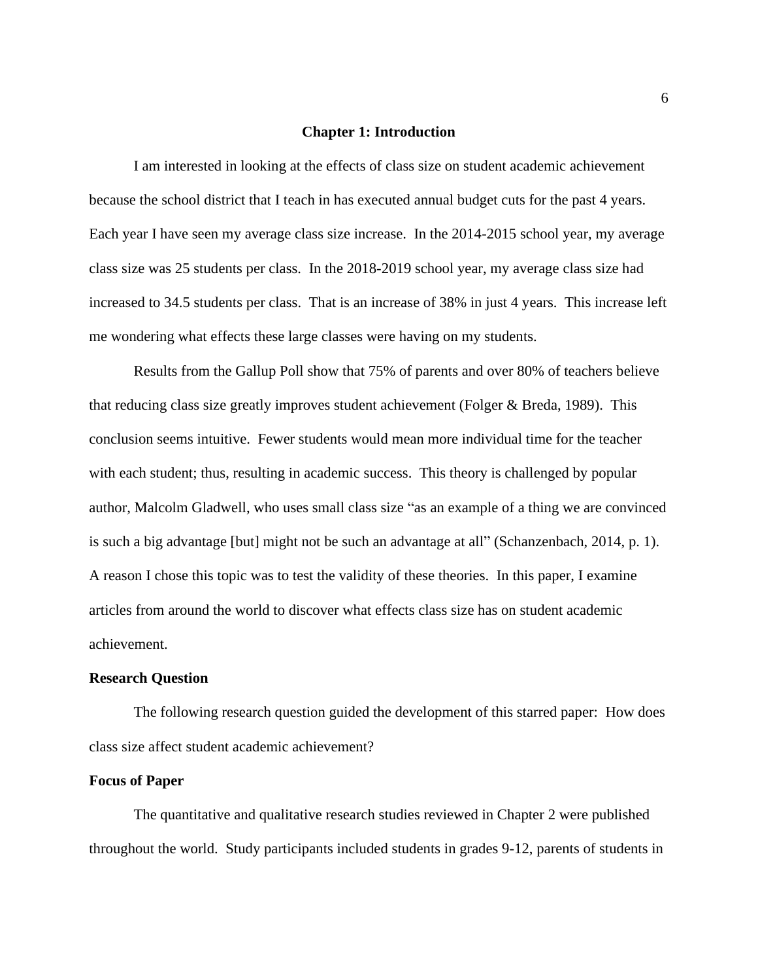#### **Chapter 1: Introduction**

I am interested in looking at the effects of class size on student academic achievement because the school district that I teach in has executed annual budget cuts for the past 4 years. Each year I have seen my average class size increase. In the 2014-2015 school year, my average class size was 25 students per class. In the 2018-2019 school year, my average class size had increased to 34.5 students per class. That is an increase of 38% in just 4 years. This increase left me wondering what effects these large classes were having on my students.

Results from the Gallup Poll show that 75% of parents and over 80% of teachers believe that reducing class size greatly improves student achievement (Folger & Breda, 1989). This conclusion seems intuitive. Fewer students would mean more individual time for the teacher with each student; thus, resulting in academic success. This theory is challenged by popular author, Malcolm Gladwell, who uses small class size "as an example of a thing we are convinced is such a big advantage [but] might not be such an advantage at all" (Schanzenbach, 2014, p. 1). A reason I chose this topic was to test the validity of these theories. In this paper, I examine articles from around the world to discover what effects class size has on student academic achievement.

### **Research Question**

The following research question guided the development of this starred paper: How does class size affect student academic achievement?

#### **Focus of Paper**

The quantitative and qualitative research studies reviewed in Chapter 2 were published throughout the world. Study participants included students in grades 9-12, parents of students in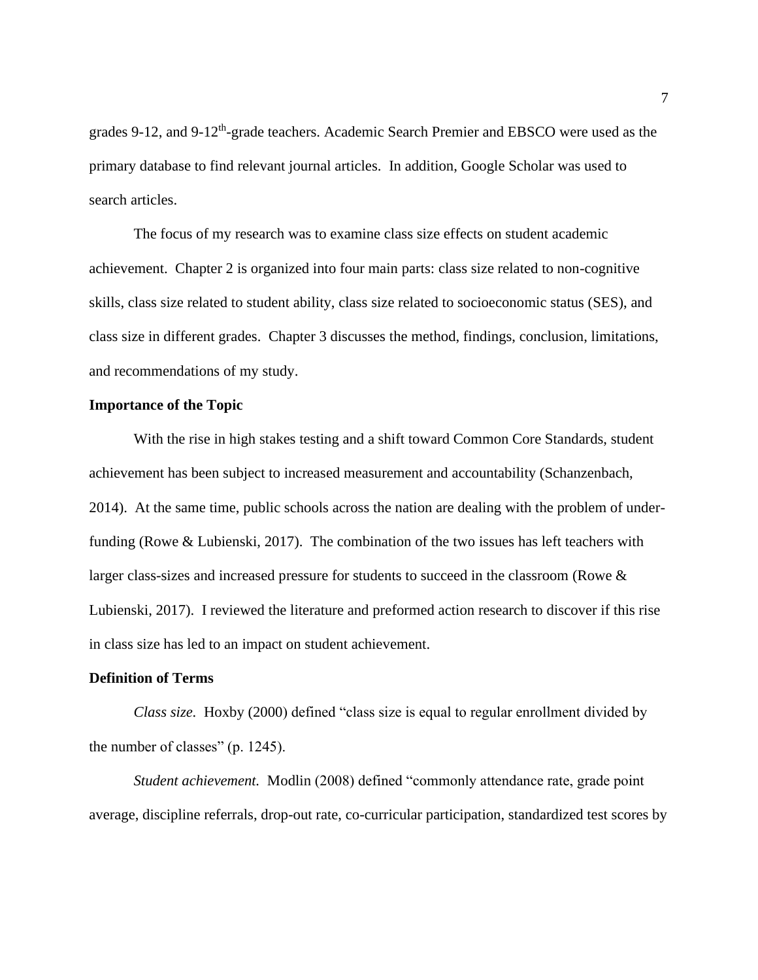grades 9-12, and 9-12<sup>th</sup>-grade teachers. Academic Search Premier and EBSCO were used as the primary database to find relevant journal articles. In addition, Google Scholar was used to search articles.

The focus of my research was to examine class size effects on student academic achievement. Chapter 2 is organized into four main parts: class size related to non-cognitive skills, class size related to student ability, class size related to socioeconomic status (SES), and class size in different grades. Chapter 3 discusses the method, findings, conclusion, limitations, and recommendations of my study.

# **Importance of the Topic**

With the rise in high stakes testing and a shift toward Common Core Standards, student achievement has been subject to increased measurement and accountability (Schanzenbach, 2014). At the same time, public schools across the nation are dealing with the problem of underfunding (Rowe & Lubienski, 2017). The combination of the two issues has left teachers with larger class-sizes and increased pressure for students to succeed in the classroom (Rowe & Lubienski, 2017). I reviewed the literature and preformed action research to discover if this rise in class size has led to an impact on student achievement.

#### **Definition of Terms**

*Class size.* Hoxby (2000) defined "class size is equal to regular enrollment divided by the number of classes" (p. 1245).

*Student achievement.* Modlin (2008) defined "commonly attendance rate, grade point average, discipline referrals, drop-out rate, co-curricular participation, standardized test scores by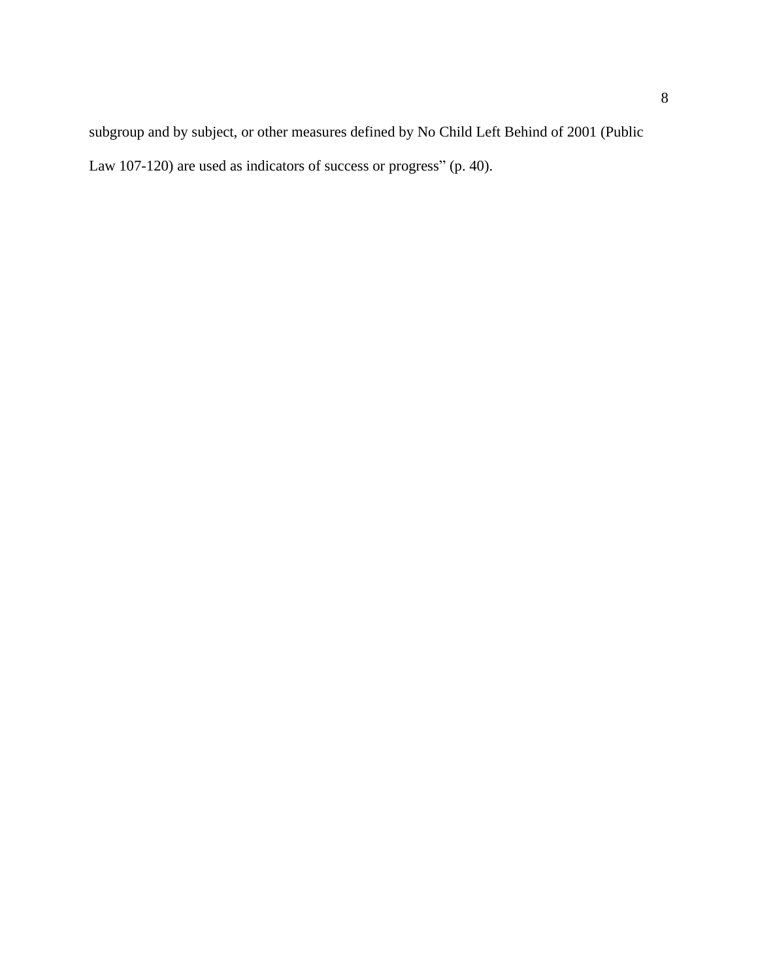subgroup and by subject, or other measures defined by No Child Left Behind of 2001 (Public Law 107-120) are used as indicators of success or progress" (p. 40).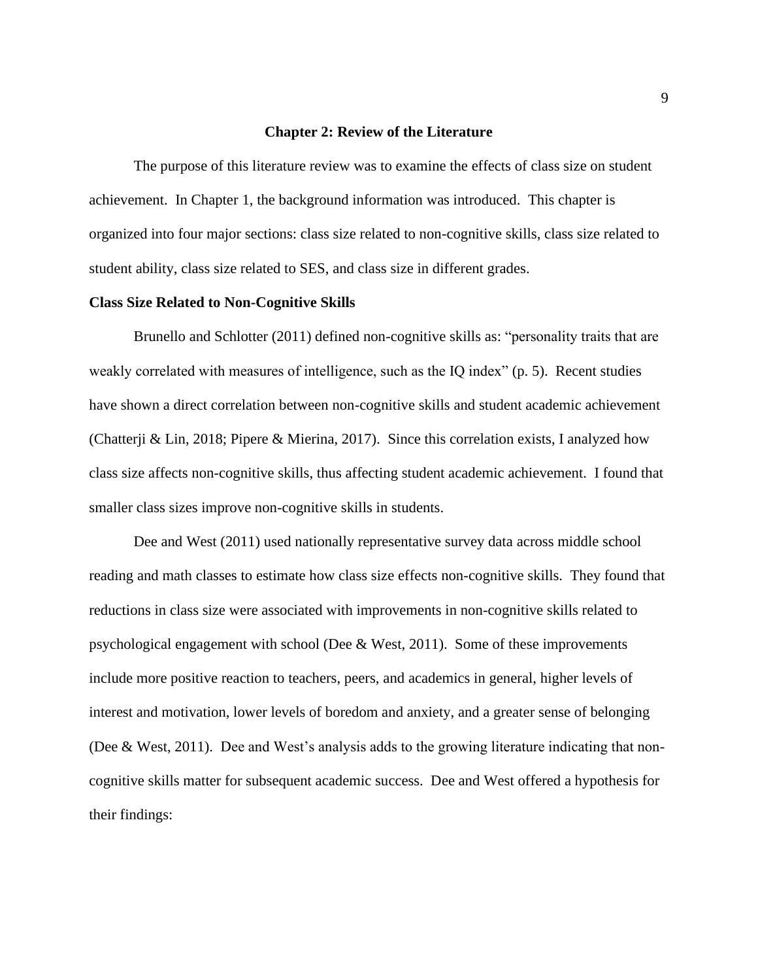#### **Chapter 2: Review of the Literature**

The purpose of this literature review was to examine the effects of class size on student achievement. In Chapter 1, the background information was introduced. This chapter is organized into four major sections: class size related to non-cognitive skills, class size related to student ability, class size related to SES, and class size in different grades.

#### **Class Size Related to Non-Cognitive Skills**

Brunello and Schlotter (2011) defined non-cognitive skills as: "personality traits that are weakly correlated with measures of intelligence, such as the IQ index" (p. 5). Recent studies have shown a direct correlation between non-cognitive skills and student academic achievement (Chatterji & Lin, 2018; Pipere & Mierina, 2017). Since this correlation exists, I analyzed how class size affects non-cognitive skills, thus affecting student academic achievement. I found that smaller class sizes improve non-cognitive skills in students.

Dee and West (2011) used nationally representative survey data across middle school reading and math classes to estimate how class size effects non-cognitive skills. They found that reductions in class size were associated with improvements in non-cognitive skills related to psychological engagement with school (Dee & West, 2011). Some of these improvements include more positive reaction to teachers, peers, and academics in general, higher levels of interest and motivation, lower levels of boredom and anxiety, and a greater sense of belonging (Dee & West, 2011). Dee and West's analysis adds to the growing literature indicating that noncognitive skills matter for subsequent academic success. Dee and West offered a hypothesis for their findings: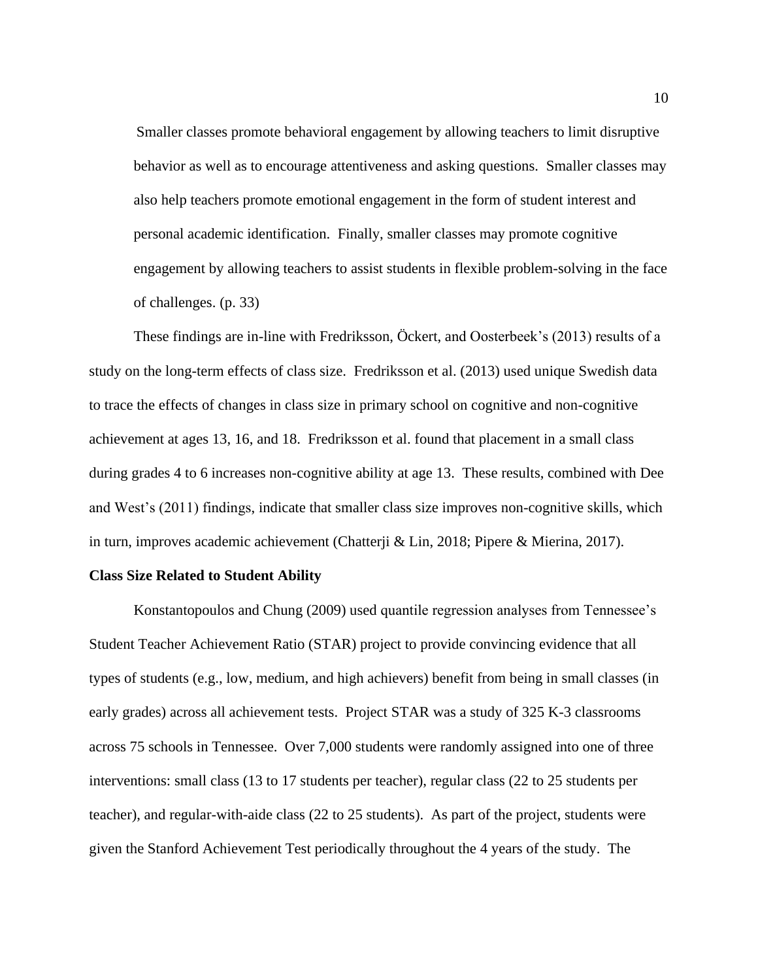Smaller classes promote behavioral engagement by allowing teachers to limit disruptive behavior as well as to encourage attentiveness and asking questions. Smaller classes may also help teachers promote emotional engagement in the form of student interest and personal academic identification. Finally, smaller classes may promote cognitive engagement by allowing teachers to assist students in flexible problem-solving in the face of challenges. (p. 33)

These findings are in-line with Fredriksson, Öckert, and Oosterbeek's (2013) results of a study on the long-term effects of class size. Fredriksson et al. (2013) used unique Swedish data to trace the effects of changes in class size in primary school on cognitive and non-cognitive achievement at ages 13, 16, and 18. Fredriksson et al. found that placement in a small class during grades 4 to 6 increases non-cognitive ability at age 13. These results, combined with Dee and West's (2011) findings, indicate that smaller class size improves non-cognitive skills, which in turn, improves academic achievement (Chatterji & Lin, 2018; Pipere & Mierina, 2017).

#### **Class Size Related to Student Ability**

Konstantopoulos and Chung (2009) used quantile regression analyses from Tennessee's Student Teacher Achievement Ratio (STAR) project to provide convincing evidence that all types of students (e.g., low, medium, and high achievers) benefit from being in small classes (in early grades) across all achievement tests. Project STAR was a study of 325 K-3 classrooms across 75 schools in Tennessee. Over 7,000 students were randomly assigned into one of three interventions: small class (13 to 17 students per teacher), regular class (22 to 25 students per teacher), and regular-with-aide class (22 to 25 students). As part of the project, students were given the Stanford Achievement Test periodically throughout the 4 years of the study. The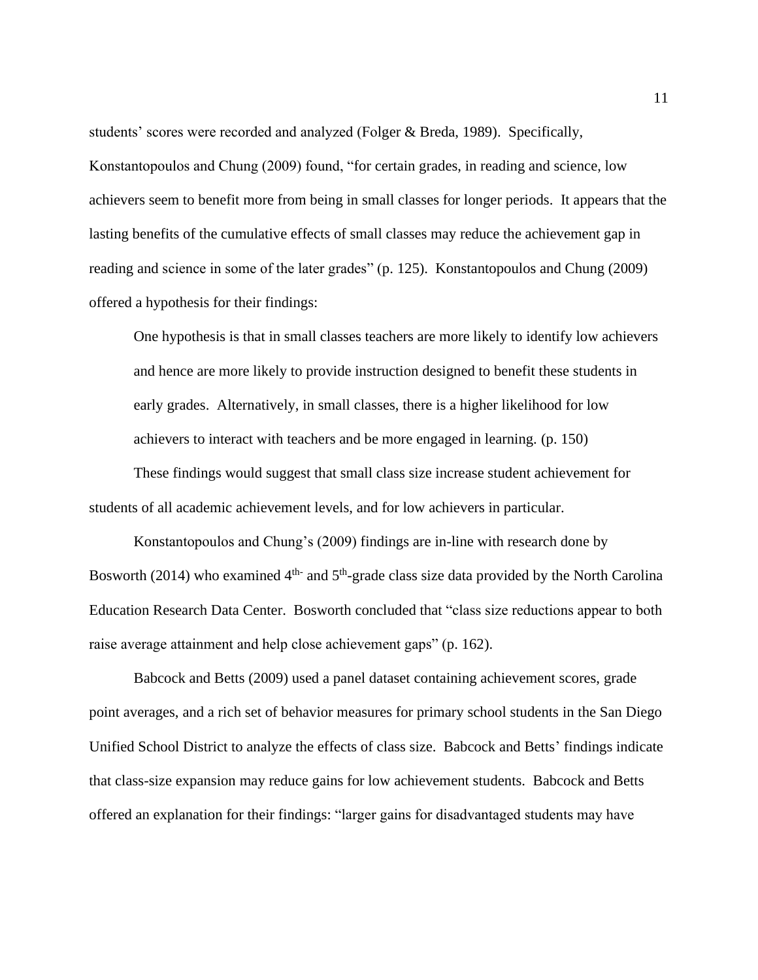students' scores were recorded and analyzed (Folger & Breda, 1989). Specifically, Konstantopoulos and Chung (2009) found, "for certain grades, in reading and science, low achievers seem to benefit more from being in small classes for longer periods. It appears that the lasting benefits of the cumulative effects of small classes may reduce the achievement gap in reading and science in some of the later grades" (p. 125). Konstantopoulos and Chung (2009) offered a hypothesis for their findings:

One hypothesis is that in small classes teachers are more likely to identify low achievers and hence are more likely to provide instruction designed to benefit these students in early grades. Alternatively, in small classes, there is a higher likelihood for low achievers to interact with teachers and be more engaged in learning. (p. 150)

These findings would suggest that small class size increase student achievement for students of all academic achievement levels, and for low achievers in particular.

Konstantopoulos and Chung's (2009) findings are in-line with research done by Bosworth (2014) who examined  $4<sup>th</sup>$  and  $5<sup>th</sup>$ -grade class size data provided by the North Carolina Education Research Data Center. Bosworth concluded that "class size reductions appear to both raise average attainment and help close achievement gaps" (p. 162).

Babcock and Betts (2009) used a panel dataset containing achievement scores, grade point averages, and a rich set of behavior measures for primary school students in the San Diego Unified School District to analyze the effects of class size. Babcock and Betts' findings indicate that class-size expansion may reduce gains for low achievement students. Babcock and Betts offered an explanation for their findings: "larger gains for disadvantaged students may have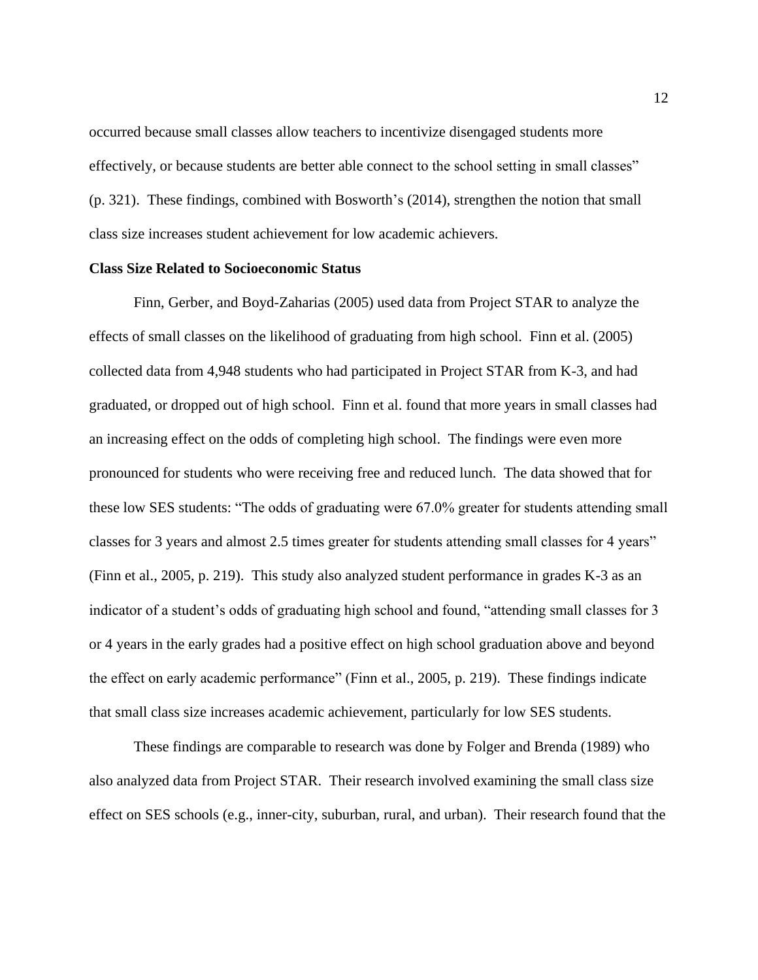occurred because small classes allow teachers to incentivize disengaged students more effectively, or because students are better able connect to the school setting in small classes" (p. 321). These findings, combined with Bosworth's (2014), strengthen the notion that small class size increases student achievement for low academic achievers.

### **Class Size Related to Socioeconomic Status**

Finn, Gerber, and Boyd-Zaharias (2005) used data from Project STAR to analyze the effects of small classes on the likelihood of graduating from high school. Finn et al. (2005) collected data from 4,948 students who had participated in Project STAR from K-3, and had graduated, or dropped out of high school. Finn et al. found that more years in small classes had an increasing effect on the odds of completing high school. The findings were even more pronounced for students who were receiving free and reduced lunch. The data showed that for these low SES students: "The odds of graduating were 67.0% greater for students attending small classes for 3 years and almost 2.5 times greater for students attending small classes for 4 years" (Finn et al., 2005, p. 219). This study also analyzed student performance in grades K-3 as an indicator of a student's odds of graduating high school and found, "attending small classes for 3 or 4 years in the early grades had a positive effect on high school graduation above and beyond the effect on early academic performance" (Finn et al., 2005, p. 219). These findings indicate that small class size increases academic achievement, particularly for low SES students.

These findings are comparable to research was done by Folger and Brenda (1989) who also analyzed data from Project STAR. Their research involved examining the small class size effect on SES schools (e.g., inner-city, suburban, rural, and urban). Their research found that the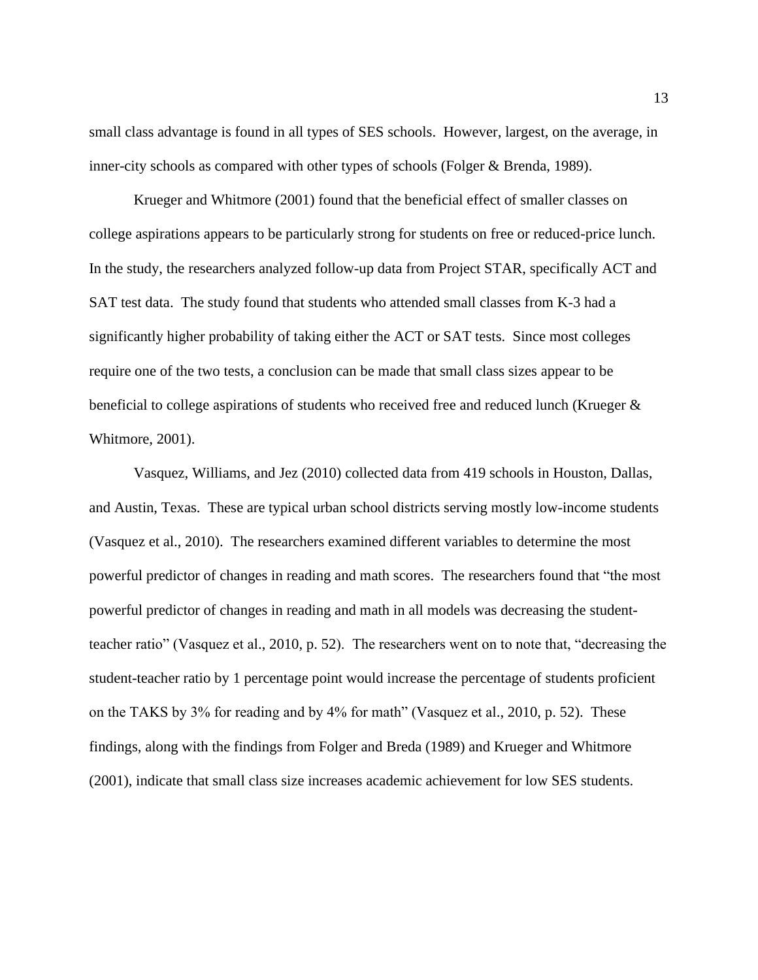small class advantage is found in all types of SES schools. However, largest, on the average, in inner-city schools as compared with other types of schools (Folger & Brenda, 1989).

Krueger and Whitmore (2001) found that the beneficial effect of smaller classes on college aspirations appears to be particularly strong for students on free or reduced-price lunch. In the study, the researchers analyzed follow-up data from Project STAR, specifically ACT and SAT test data. The study found that students who attended small classes from K-3 had a significantly higher probability of taking either the ACT or SAT tests. Since most colleges require one of the two tests, a conclusion can be made that small class sizes appear to be beneficial to college aspirations of students who received free and reduced lunch (Krueger & Whitmore, 2001).

Vasquez, Williams, and Jez (2010) collected data from 419 schools in Houston, Dallas, and Austin, Texas. These are typical urban school districts serving mostly low-income students (Vasquez et al., 2010). The researchers examined different variables to determine the most powerful predictor of changes in reading and math scores. The researchers found that "the most powerful predictor of changes in reading and math in all models was decreasing the studentteacher ratio" (Vasquez et al., 2010, p. 52). The researchers went on to note that, "decreasing the student-teacher ratio by 1 percentage point would increase the percentage of students proficient on the TAKS by 3% for reading and by 4% for math" (Vasquez et al., 2010, p. 52). These findings, along with the findings from Folger and Breda (1989) and Krueger and Whitmore (2001), indicate that small class size increases academic achievement for low SES students.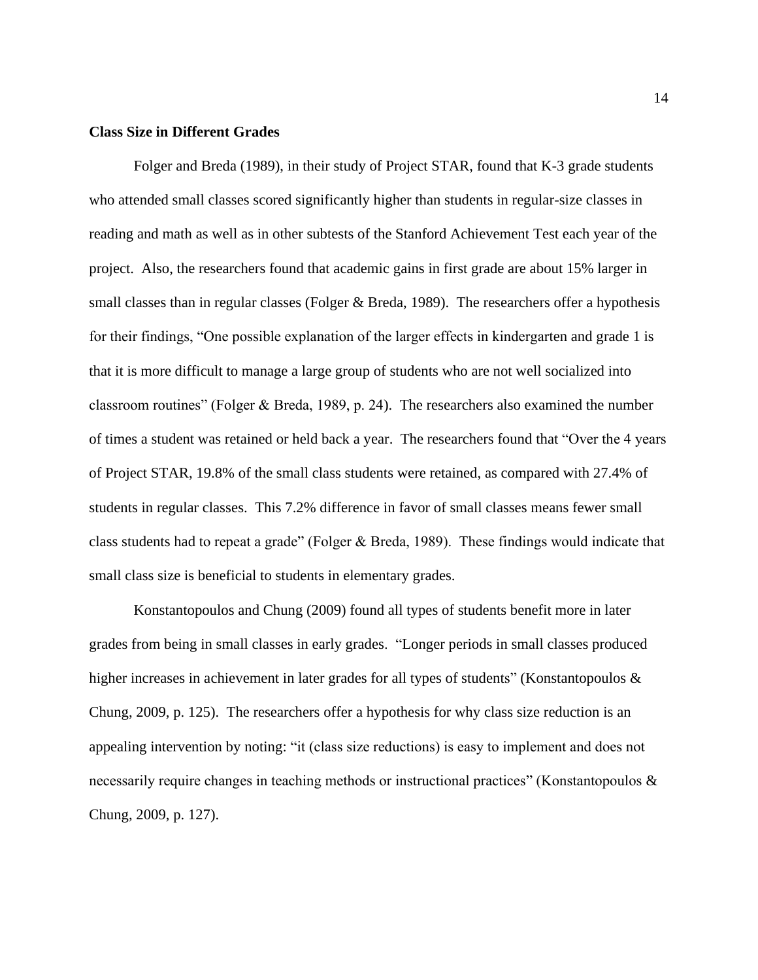### **Class Size in Different Grades**

Folger and Breda (1989), in their study of Project STAR, found that K-3 grade students who attended small classes scored significantly higher than students in regular-size classes in reading and math as well as in other subtests of the Stanford Achievement Test each year of the project. Also, the researchers found that academic gains in first grade are about 15% larger in small classes than in regular classes (Folger & Breda, 1989). The researchers offer a hypothesis for their findings, "One possible explanation of the larger effects in kindergarten and grade 1 is that it is more difficult to manage a large group of students who are not well socialized into classroom routines" (Folger & Breda, 1989, p. 24). The researchers also examined the number of times a student was retained or held back a year. The researchers found that "Over the 4 years of Project STAR, 19.8% of the small class students were retained, as compared with 27.4% of students in regular classes. This 7.2% difference in favor of small classes means fewer small class students had to repeat a grade" (Folger & Breda, 1989). These findings would indicate that small class size is beneficial to students in elementary grades.

Konstantopoulos and Chung (2009) found all types of students benefit more in later grades from being in small classes in early grades. "Longer periods in small classes produced higher increases in achievement in later grades for all types of students" (Konstantopoulos & Chung, 2009, p. 125). The researchers offer a hypothesis for why class size reduction is an appealing intervention by noting: "it (class size reductions) is easy to implement and does not necessarily require changes in teaching methods or instructional practices" (Konstantopoulos & Chung, 2009, p. 127).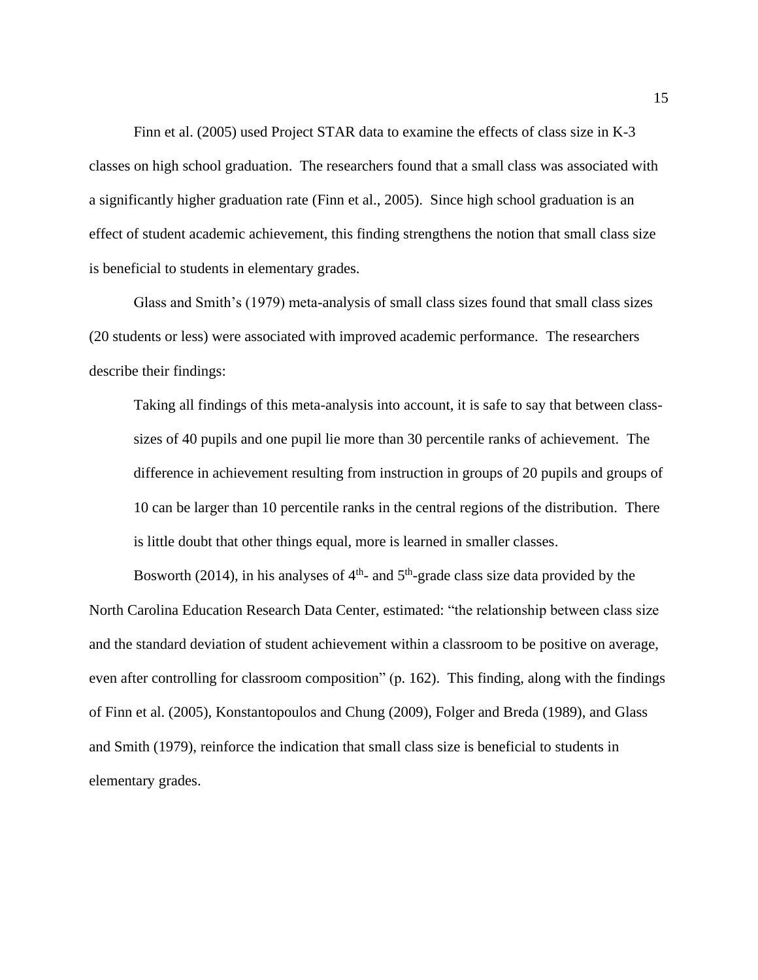Finn et al. (2005) used Project STAR data to examine the effects of class size in K-3 classes on high school graduation. The researchers found that a small class was associated with a significantly higher graduation rate (Finn et al., 2005). Since high school graduation is an effect of student academic achievement, this finding strengthens the notion that small class size is beneficial to students in elementary grades.

Glass and Smith's (1979) meta-analysis of small class sizes found that small class sizes (20 students or less) were associated with improved academic performance. The researchers describe their findings:

Taking all findings of this meta-analysis into account, it is safe to say that between classsizes of 40 pupils and one pupil lie more than 30 percentile ranks of achievement. The difference in achievement resulting from instruction in groups of 20 pupils and groups of 10 can be larger than 10 percentile ranks in the central regions of the distribution. There is little doubt that other things equal, more is learned in smaller classes.

Bosworth (2014), in his analyses of  $4<sup>th</sup>$ - and  $5<sup>th</sup>$ -grade class size data provided by the North Carolina Education Research Data Center, estimated: "the relationship between class size and the standard deviation of student achievement within a classroom to be positive on average, even after controlling for classroom composition" (p. 162). This finding, along with the findings of Finn et al. (2005), Konstantopoulos and Chung (2009), Folger and Breda (1989), and Glass and Smith (1979), reinforce the indication that small class size is beneficial to students in elementary grades.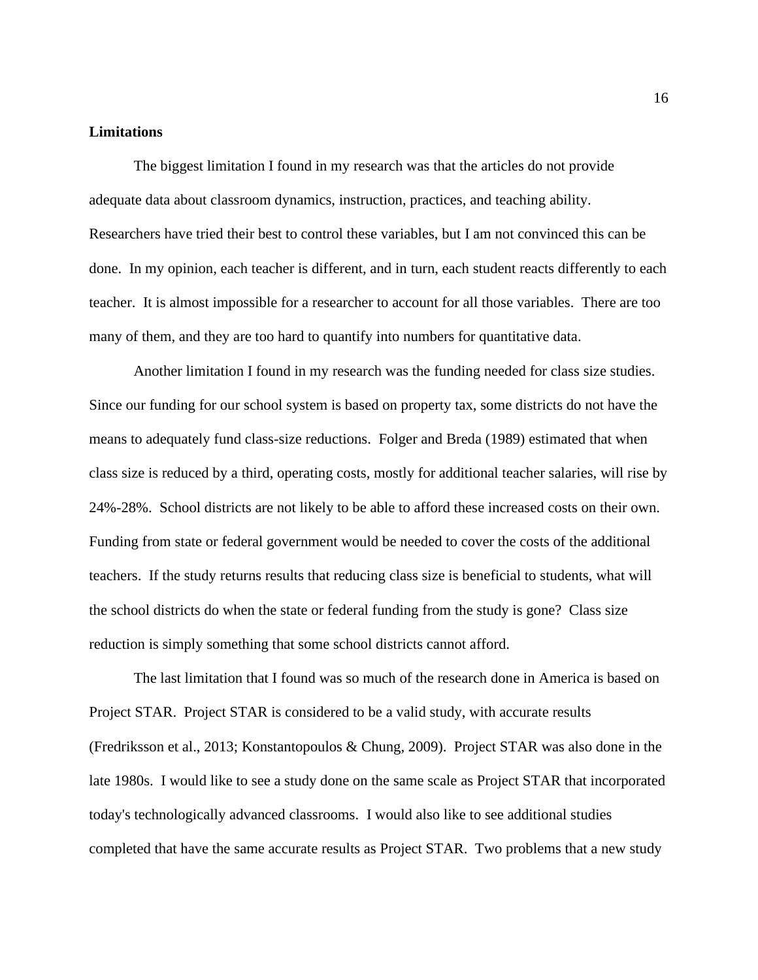### **Limitations**

The biggest limitation I found in my research was that the articles do not provide adequate data about classroom dynamics, instruction, practices, and teaching ability. Researchers have tried their best to control these variables, but I am not convinced this can be done. In my opinion, each teacher is different, and in turn, each student reacts differently to each teacher. It is almost impossible for a researcher to account for all those variables. There are too many of them, and they are too hard to quantify into numbers for quantitative data.

Another limitation I found in my research was the funding needed for class size studies. Since our funding for our school system is based on property tax, some districts do not have the means to adequately fund class-size reductions. Folger and Breda (1989) estimated that when class size is reduced by a third, operating costs, mostly for additional teacher salaries, will rise by 24%-28%. School districts are not likely to be able to afford these increased costs on their own. Funding from state or federal government would be needed to cover the costs of the additional teachers. If the study returns results that reducing class size is beneficial to students, what will the school districts do when the state or federal funding from the study is gone? Class size reduction is simply something that some school districts cannot afford.

The last limitation that I found was so much of the research done in America is based on Project STAR. Project STAR is considered to be a valid study, with accurate results (Fredriksson et al., 2013; Konstantopoulos & Chung, 2009). Project STAR was also done in the late 1980s. I would like to see a study done on the same scale as Project STAR that incorporated today's technologically advanced classrooms. I would also like to see additional studies completed that have the same accurate results as Project STAR. Two problems that a new study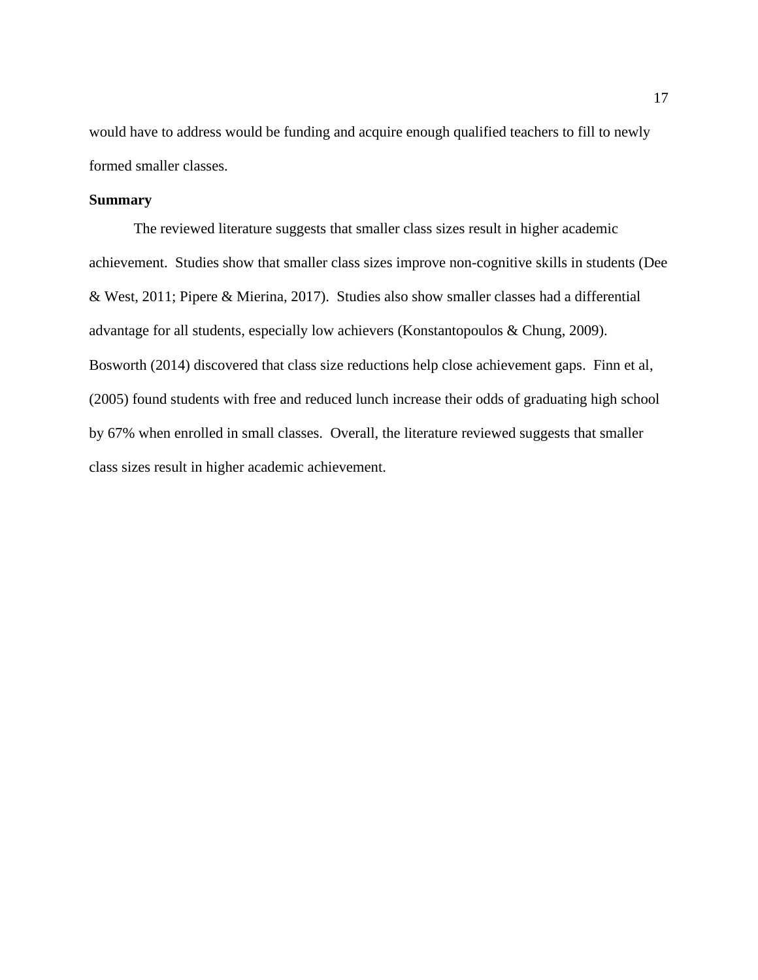would have to address would be funding and acquire enough qualified teachers to fill to newly formed smaller classes.

# **Summary**

The reviewed literature suggests that smaller class sizes result in higher academic achievement. Studies show that smaller class sizes improve non-cognitive skills in students (Dee & West, 2011; Pipere & Mierina, 2017). Studies also show smaller classes had a differential advantage for all students, especially low achievers (Konstantopoulos & Chung, 2009). Bosworth (2014) discovered that class size reductions help close achievement gaps. Finn et al, (2005) found students with free and reduced lunch increase their odds of graduating high school by 67% when enrolled in small classes. Overall, the literature reviewed suggests that smaller class sizes result in higher academic achievement.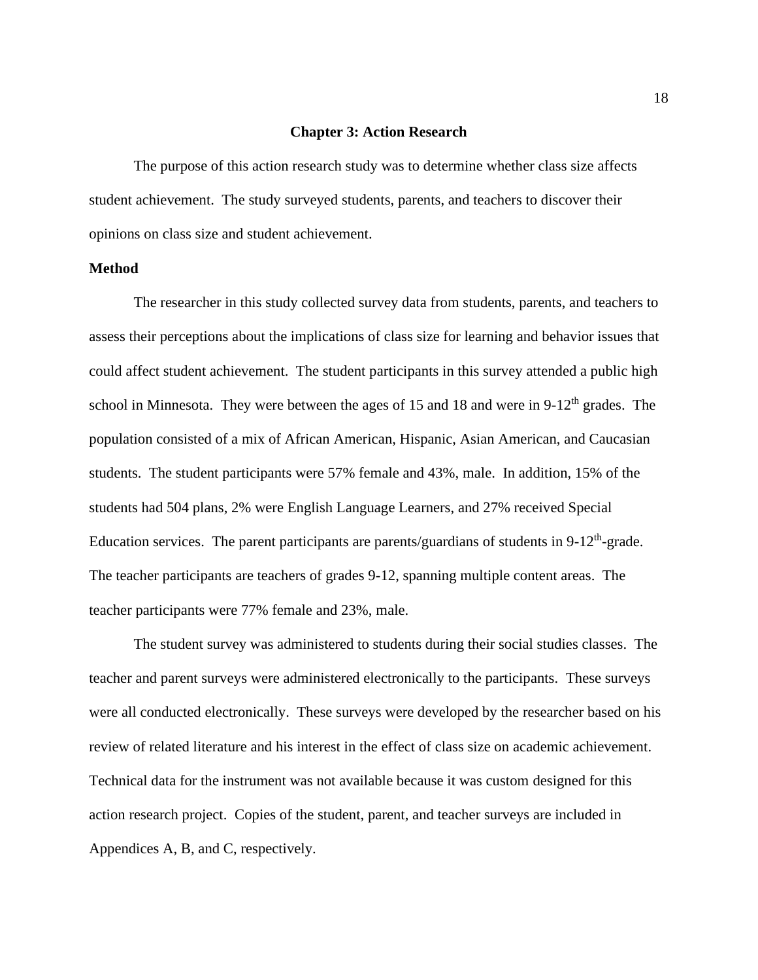#### **Chapter 3: Action Research**

The purpose of this action research study was to determine whether class size affects student achievement. The study surveyed students, parents, and teachers to discover their opinions on class size and student achievement.

## **Method**

The researcher in this study collected survey data from students, parents, and teachers to assess their perceptions about the implications of class size for learning and behavior issues that could affect student achievement. The student participants in this survey attended a public high school in Minnesota. They were between the ages of 15 and 18 and were in  $9-12<sup>th</sup>$  grades. The population consisted of a mix of African American, Hispanic, Asian American, and Caucasian students. The student participants were 57% female and 43%, male. In addition, 15% of the students had 504 plans, 2% were English Language Learners, and 27% received Special Education services. The parent participants are parents/guardians of students in  $9-12<sup>th</sup>$ -grade. The teacher participants are teachers of grades 9-12, spanning multiple content areas. The teacher participants were 77% female and 23%, male.

The student survey was administered to students during their social studies classes. The teacher and parent surveys were administered electronically to the participants. These surveys were all conducted electronically. These surveys were developed by the researcher based on his review of related literature and his interest in the effect of class size on academic achievement. Technical data for the instrument was not available because it was custom designed for this action research project. Copies of the student, parent, and teacher surveys are included in Appendices A, B, and C, respectively.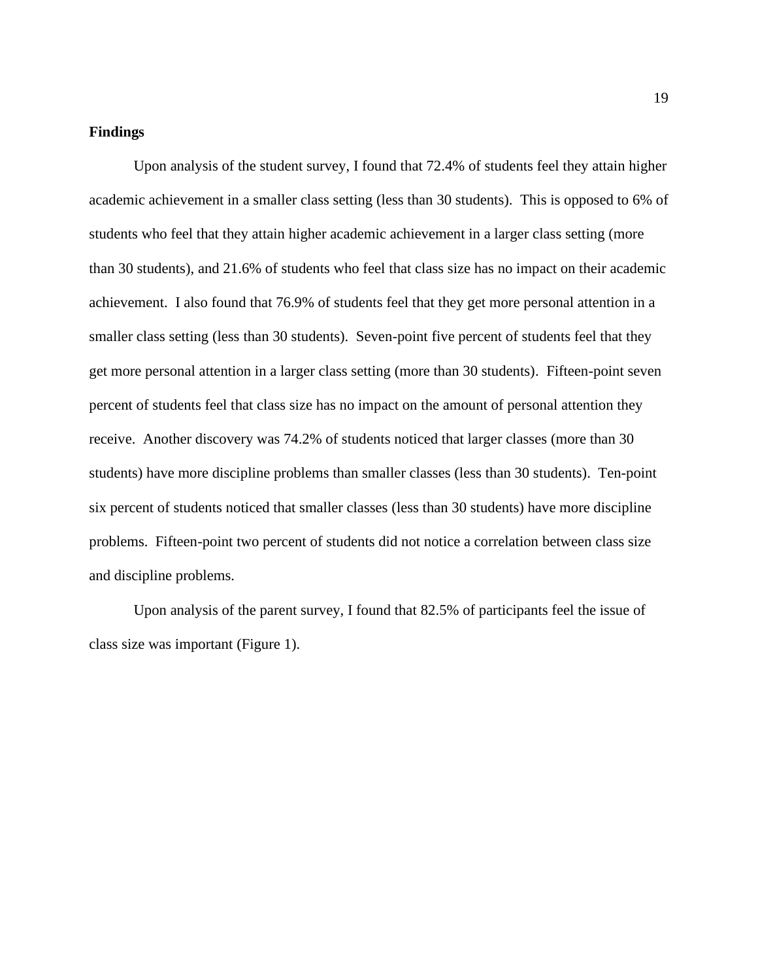# **Findings**

Upon analysis of the student survey, I found that 72.4% of students feel they attain higher academic achievement in a smaller class setting (less than 30 students). This is opposed to 6% of students who feel that they attain higher academic achievement in a larger class setting (more than 30 students), and 21.6% of students who feel that class size has no impact on their academic achievement. I also found that 76.9% of students feel that they get more personal attention in a smaller class setting (less than 30 students). Seven-point five percent of students feel that they get more personal attention in a larger class setting (more than 30 students). Fifteen-point seven percent of students feel that class size has no impact on the amount of personal attention they receive. Another discovery was 74.2% of students noticed that larger classes (more than 30 students) have more discipline problems than smaller classes (less than 30 students). Ten-point six percent of students noticed that smaller classes (less than 30 students) have more discipline problems. Fifteen-point two percent of students did not notice a correlation between class size and discipline problems.

Upon analysis of the parent survey, I found that 82.5% of participants feel the issue of class size was important (Figure 1).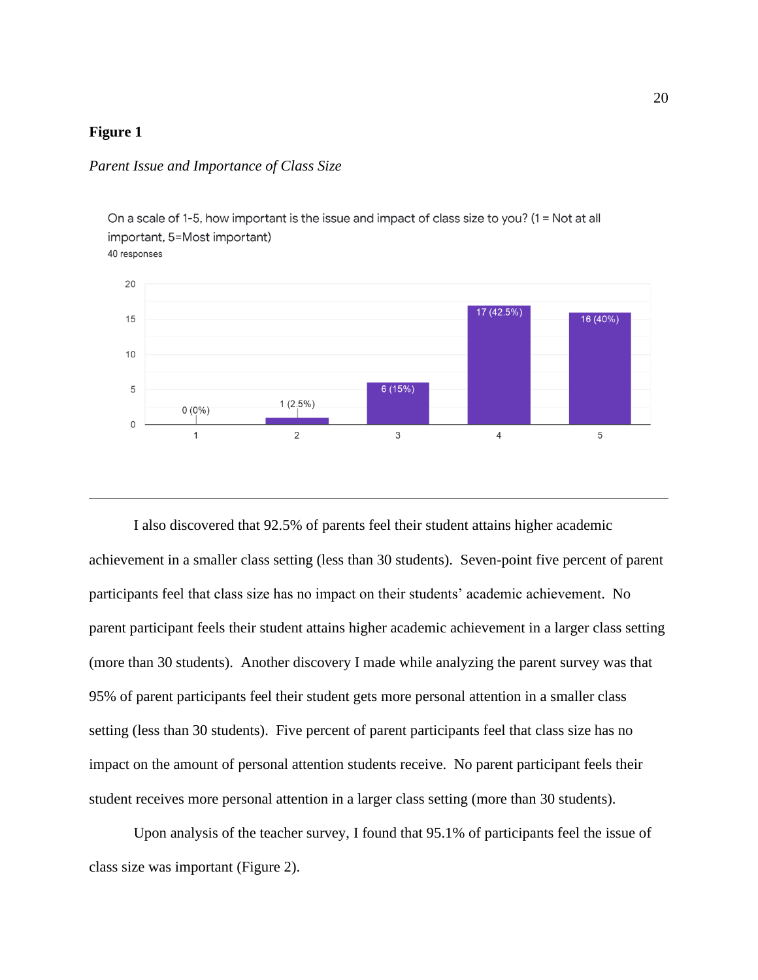# **Figure 1**

# *Parent Issue and Importance of Class Size*



I also discovered that 92.5% of parents feel their student attains higher academic achievement in a smaller class setting (less than 30 students). Seven-point five percent of parent participants feel that class size has no impact on their students' academic achievement. No parent participant feels their student attains higher academic achievement in a larger class setting (more than 30 students). Another discovery I made while analyzing the parent survey was that 95% of parent participants feel their student gets more personal attention in a smaller class setting (less than 30 students). Five percent of parent participants feel that class size has no impact on the amount of personal attention students receive. No parent participant feels their student receives more personal attention in a larger class setting (more than 30 students).

Upon analysis of the teacher survey, I found that 95.1% of participants feel the issue of class size was important (Figure 2).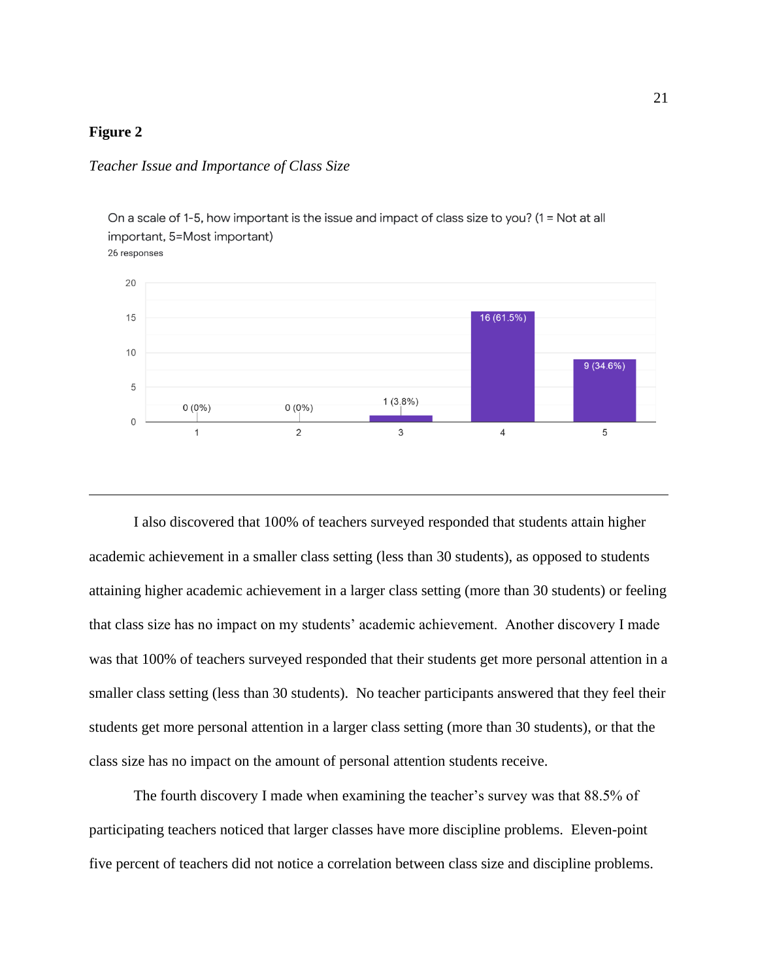# **Figure 2**

### *Teacher Issue and Importance of Class Size*



I also discovered that 100% of teachers surveyed responded that students attain higher academic achievement in a smaller class setting (less than 30 students), as opposed to students attaining higher academic achievement in a larger class setting (more than 30 students) or feeling that class size has no impact on my students' academic achievement. Another discovery I made was that 100% of teachers surveyed responded that their students get more personal attention in a smaller class setting (less than 30 students). No teacher participants answered that they feel their students get more personal attention in a larger class setting (more than 30 students), or that the class size has no impact on the amount of personal attention students receive.

The fourth discovery I made when examining the teacher's survey was that 88.5% of participating teachers noticed that larger classes have more discipline problems. Eleven-point five percent of teachers did not notice a correlation between class size and discipline problems.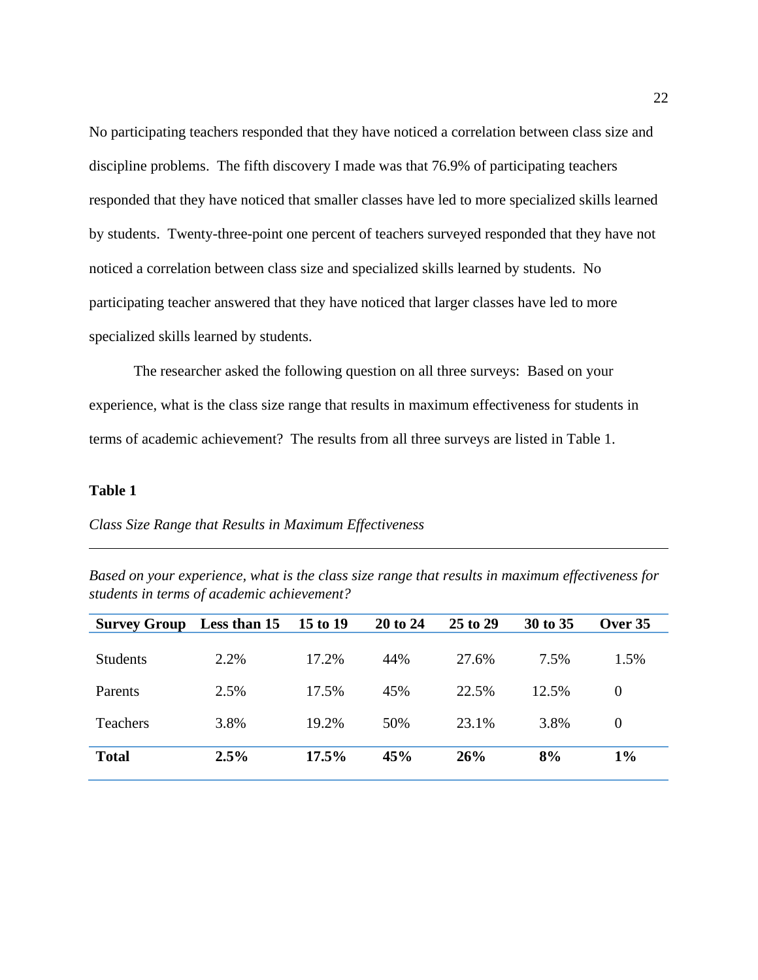No participating teachers responded that they have noticed a correlation between class size and discipline problems. The fifth discovery I made was that 76.9% of participating teachers responded that they have noticed that smaller classes have led to more specialized skills learned by students. Twenty-three-point one percent of teachers surveyed responded that they have not noticed a correlation between class size and specialized skills learned by students. No participating teacher answered that they have noticed that larger classes have led to more specialized skills learned by students.

The researcher asked the following question on all three surveys: Based on your experience, what is the class size range that results in maximum effectiveness for students in terms of academic achievement? The results from all three surveys are listed in Table 1.

# **Table 1**

*Class Size Range that Results in Maximum Effectiveness*

| <b>Survey Group</b> | Less than 15 | 15 to 19 | 20 to 24 | 25 to 29 | 30 to 35 | Over 35        |
|---------------------|--------------|----------|----------|----------|----------|----------------|
| <b>Students</b>     | 2.2%         | 17.2%    | 44%      | 27.6%    | 7.5%     | 1.5%           |
| Parents             | 2.5%         | 17.5%    | 45%      | 22.5%    | 12.5%    | $\overline{0}$ |
| <b>Teachers</b>     | 3.8%         | 19.2%    | 50%      | 23.1%    | 3.8%     | $\overline{0}$ |
| <b>Total</b>        | 2.5%         | 17.5%    | 45%      | 26%      | 8%       | $1\%$          |

*Based on your experience, what is the class size range that results in maximum effectiveness for students in terms of academic achievement?*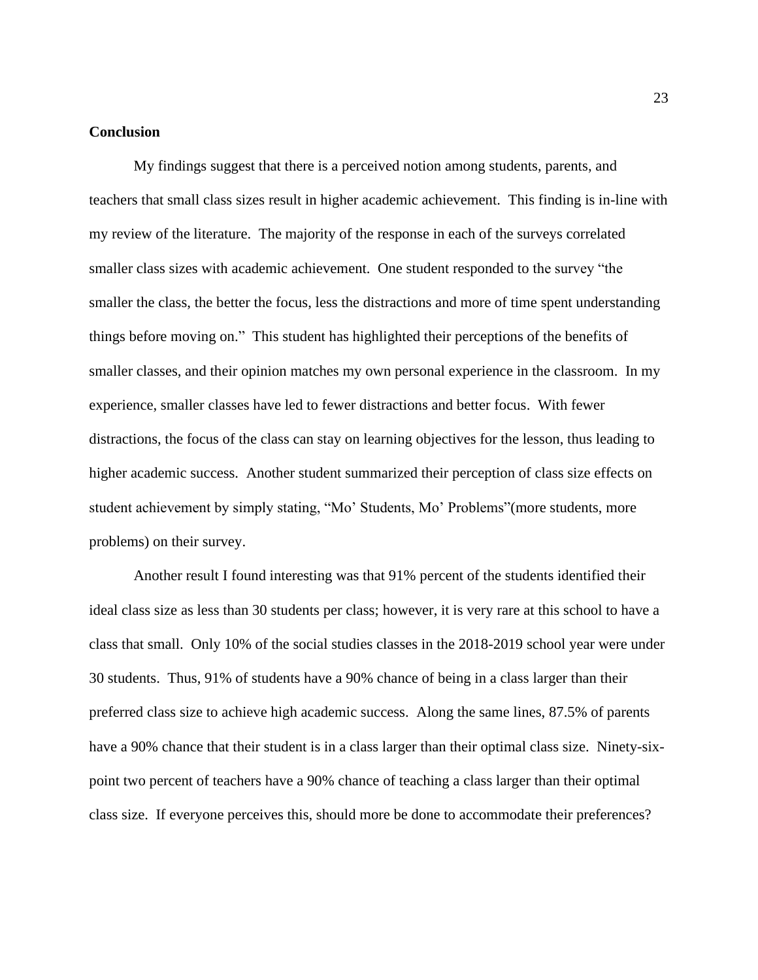## **Conclusion**

My findings suggest that there is a perceived notion among students, parents, and teachers that small class sizes result in higher academic achievement. This finding is in-line with my review of the literature. The majority of the response in each of the surveys correlated smaller class sizes with academic achievement. One student responded to the survey "the smaller the class, the better the focus, less the distractions and more of time spent understanding things before moving on." This student has highlighted their perceptions of the benefits of smaller classes, and their opinion matches my own personal experience in the classroom. In my experience, smaller classes have led to fewer distractions and better focus. With fewer distractions, the focus of the class can stay on learning objectives for the lesson, thus leading to higher academic success. Another student summarized their perception of class size effects on student achievement by simply stating, "Mo' Students, Mo' Problems"(more students, more problems) on their survey.

Another result I found interesting was that 91% percent of the students identified their ideal class size as less than 30 students per class; however, it is very rare at this school to have a class that small. Only 10% of the social studies classes in the 2018-2019 school year were under 30 students. Thus, 91% of students have a 90% chance of being in a class larger than their preferred class size to achieve high academic success. Along the same lines, 87.5% of parents have a 90% chance that their student is in a class larger than their optimal class size. Ninety-sixpoint two percent of teachers have a 90% chance of teaching a class larger than their optimal class size. If everyone perceives this, should more be done to accommodate their preferences?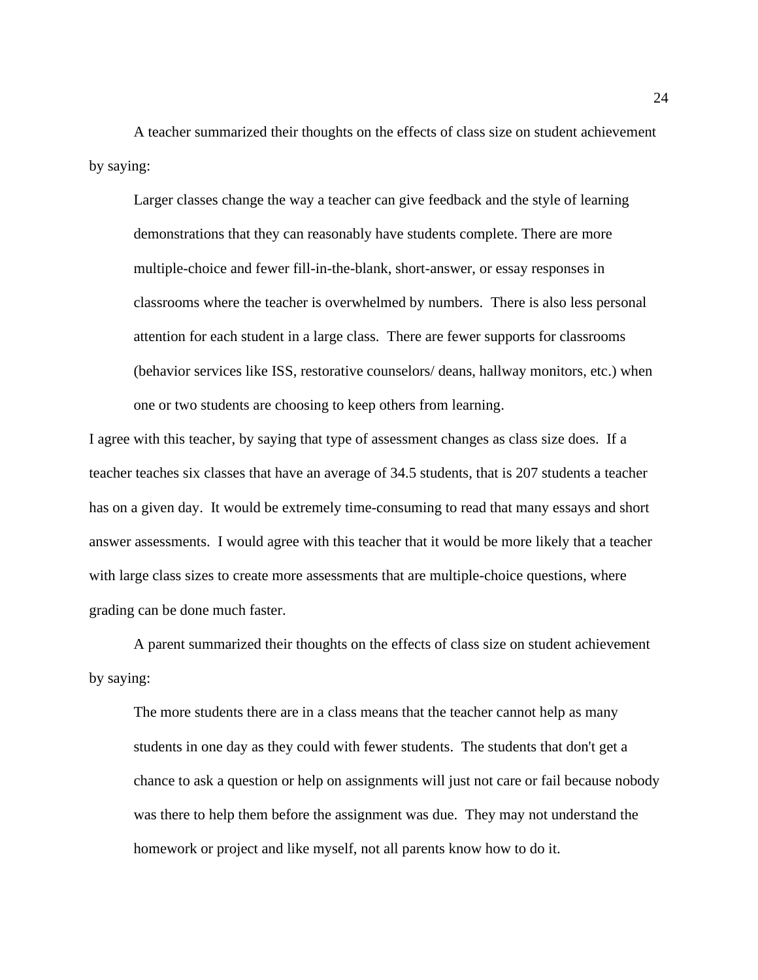A teacher summarized their thoughts on the effects of class size on student achievement by saying:

Larger classes change the way a teacher can give feedback and the style of learning demonstrations that they can reasonably have students complete. There are more multiple-choice and fewer fill-in-the-blank, short-answer, or essay responses in classrooms where the teacher is overwhelmed by numbers. There is also less personal attention for each student in a large class. There are fewer supports for classrooms (behavior services like ISS, restorative counselors/ deans, hallway monitors, etc.) when one or two students are choosing to keep others from learning.

I agree with this teacher, by saying that type of assessment changes as class size does. If a teacher teaches six classes that have an average of 34.5 students, that is 207 students a teacher has on a given day. It would be extremely time-consuming to read that many essays and short answer assessments. I would agree with this teacher that it would be more likely that a teacher with large class sizes to create more assessments that are multiple-choice questions, where grading can be done much faster.

A parent summarized their thoughts on the effects of class size on student achievement by saying:

The more students there are in a class means that the teacher cannot help as many students in one day as they could with fewer students. The students that don't get a chance to ask a question or help on assignments will just not care or fail because nobody was there to help them before the assignment was due. They may not understand the homework or project and like myself, not all parents know how to do it.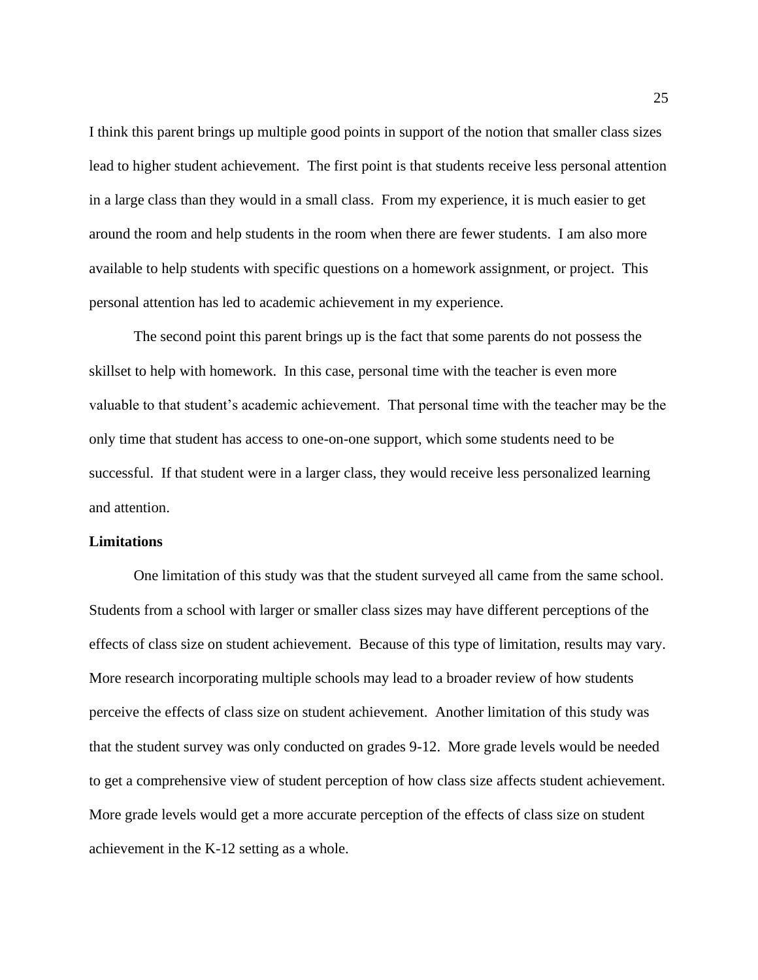I think this parent brings up multiple good points in support of the notion that smaller class sizes lead to higher student achievement. The first point is that students receive less personal attention in a large class than they would in a small class. From my experience, it is much easier to get around the room and help students in the room when there are fewer students. I am also more available to help students with specific questions on a homework assignment, or project. This personal attention has led to academic achievement in my experience.

The second point this parent brings up is the fact that some parents do not possess the skillset to help with homework. In this case, personal time with the teacher is even more valuable to that student's academic achievement. That personal time with the teacher may be the only time that student has access to one-on-one support, which some students need to be successful. If that student were in a larger class, they would receive less personalized learning and attention.

## **Limitations**

One limitation of this study was that the student surveyed all came from the same school. Students from a school with larger or smaller class sizes may have different perceptions of the effects of class size on student achievement. Because of this type of limitation, results may vary. More research incorporating multiple schools may lead to a broader review of how students perceive the effects of class size on student achievement. Another limitation of this study was that the student survey was only conducted on grades 9-12. More grade levels would be needed to get a comprehensive view of student perception of how class size affects student achievement. More grade levels would get a more accurate perception of the effects of class size on student achievement in the K-12 setting as a whole.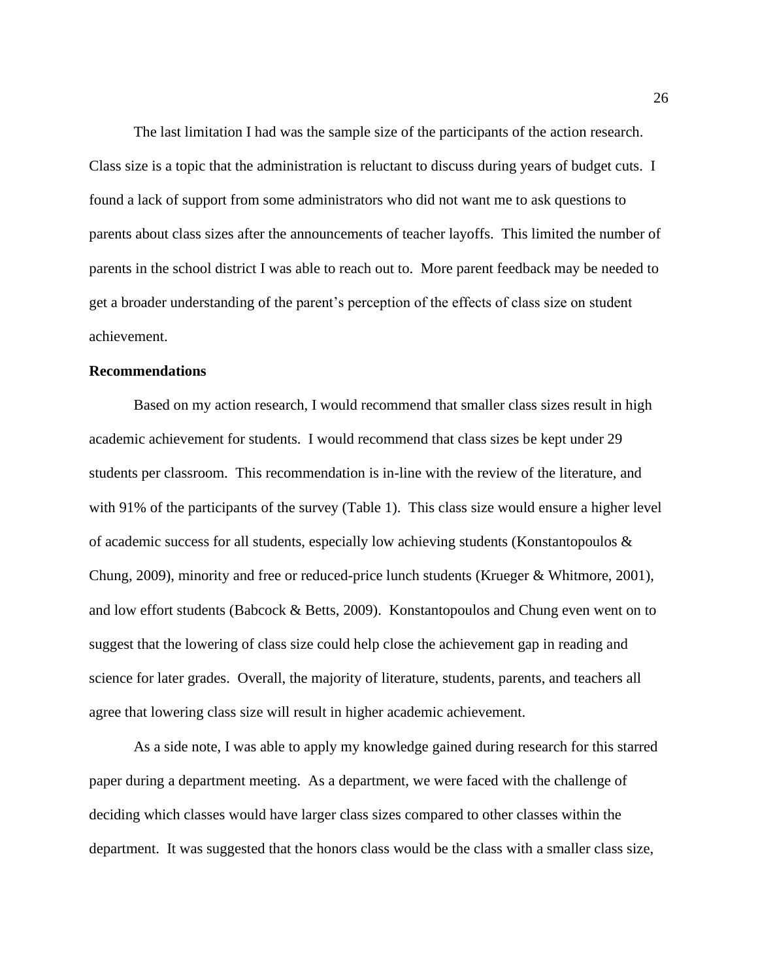The last limitation I had was the sample size of the participants of the action research. Class size is a topic that the administration is reluctant to discuss during years of budget cuts. I found a lack of support from some administrators who did not want me to ask questions to parents about class sizes after the announcements of teacher layoffs. This limited the number of parents in the school district I was able to reach out to. More parent feedback may be needed to get a broader understanding of the parent's perception of the effects of class size on student achievement.

## **Recommendations**

Based on my action research, I would recommend that smaller class sizes result in high academic achievement for students. I would recommend that class sizes be kept under 29 students per classroom. This recommendation is in-line with the review of the literature, and with 91% of the participants of the survey (Table 1). This class size would ensure a higher level of academic success for all students, especially low achieving students (Konstantopoulos  $\&$ Chung, 2009), minority and free or reduced-price lunch students (Krueger & Whitmore, 2001), and low effort students (Babcock & Betts, 2009). Konstantopoulos and Chung even went on to suggest that the lowering of class size could help close the achievement gap in reading and science for later grades. Overall, the majority of literature, students, parents, and teachers all agree that lowering class size will result in higher academic achievement.

As a side note, I was able to apply my knowledge gained during research for this starred paper during a department meeting. As a department, we were faced with the challenge of deciding which classes would have larger class sizes compared to other classes within the department. It was suggested that the honors class would be the class with a smaller class size,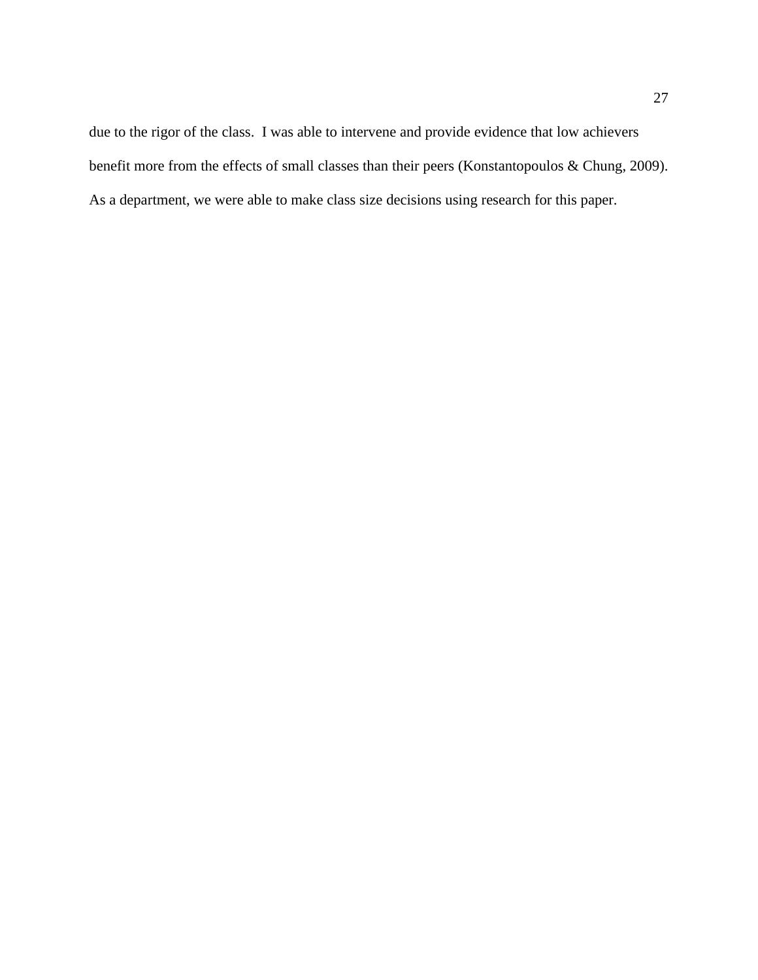due to the rigor of the class. I was able to intervene and provide evidence that low achievers benefit more from the effects of small classes than their peers (Konstantopoulos & Chung, 2009). As a department, we were able to make class size decisions using research for this paper.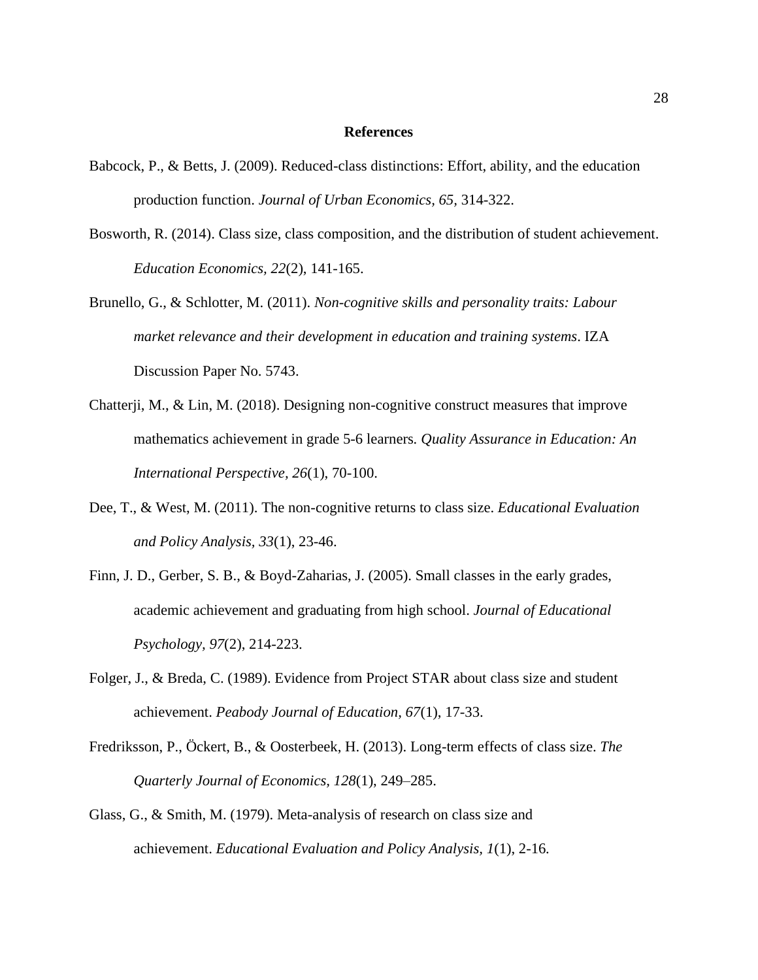#### **References**

- Babcock, P., & Betts, J. (2009). Reduced-class distinctions: Effort, ability, and the education production function. *Journal of Urban Economics, 65,* 314-322.
- Bosworth, R. (2014). Class size, class composition, and the distribution of student achievement. *Education Economics, 22*(2), 141-165.
- Brunello, G., & Schlotter, M. (2011). *Non-cognitive skills and personality traits: Labour market relevance and their development in education and training systems*. IZA Discussion Paper No. 5743.
- Chatterji, M., & Lin, M. (2018). Designing non-cognitive construct measures that improve mathematics achievement in grade 5-6 learners*. Quality Assurance in Education: An International Perspective, 26*(1), 70-100.
- Dee, T., & West, M. (2011). The non-cognitive returns to class size. *Educational Evaluation and Policy Analysis, 33*(1), 23-46.
- Finn, J. D., Gerber, S. B., & Boyd-Zaharias, J. (2005). Small classes in the early grades, academic achievement and graduating from high school. *Journal of Educational Psychology, 97*(2), 214-223.
- Folger, J., & Breda, C. (1989). Evidence from Project STAR about class size and student achievement. *Peabody Journal of Education, 67*(1), 17-33.
- Fredriksson, P., Öckert, B., & Oosterbeek, H. (2013). Long-term effects of class size. *The Quarterly Journal of Economics, 128*(1), 249–285.
- Glass, G., & Smith, M. (1979). Meta-analysis of research on class size and achievement. *Educational Evaluation and Policy Analysis, 1*(1), 2-16*.*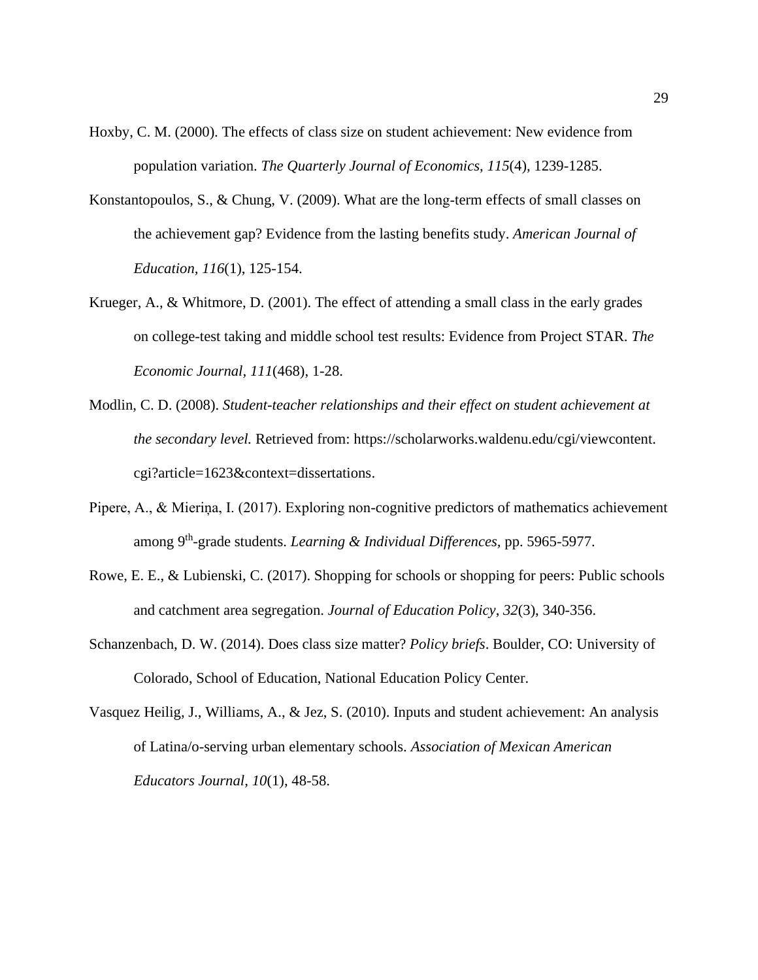- Hoxby, C. M. (2000). The effects of class size on student achievement: New evidence from population variation. *The Quarterly Journal of Economics*, *115*(4), 1239-1285.
- Konstantopoulos, S., & Chung, V. (2009). What are the long-term effects of small classes on the achievement gap? Evidence from the lasting benefits study. *American Journal of Education, 116*(1), 125-154.
- Krueger, A., & Whitmore, D. (2001). The effect of attending a small class in the early grades on college-test taking and middle school test results: Evidence from Project STAR. *The Economic Journal, 111*(468), 1-28.
- Modlin, C. D. (2008). *Student-teacher relationships and their effect on student achievement at the secondary level.* Retrieved from: [https://scholarworks.waldenu.edu/cgi/viewcontent.](https://scholarworks.waldenu.edu/cgi/viewcontent.%20cgi?article=1623&context=dissertations)  [cgi?article=1623&context=dissertations.](https://scholarworks.waldenu.edu/cgi/viewcontent.%20cgi?article=1623&context=dissertations)
- Pipere, A., & Mieriņa, I. (2017). Exploring non-cognitive predictors of mathematics achievement among 9 th -grade students. *Learning & Individual Differences,* pp. 5965-5977.
- Rowe, E. E., & Lubienski, C. (2017). Shopping for schools or shopping for peers: Public schools and catchment area segregation. *Journal of Education Policy*, *32*(3), 340-356.
- Schanzenbach, D. W. (2014). Does class size matter? *Policy briefs*. Boulder, CO: University of Colorado, School of Education, National Education Policy Center.
- Vasquez Heilig, J., Williams, A., & Jez, S. (2010). Inputs and student achievement: An analysis of Latina/o-serving urban elementary schools. *Association of Mexican American Educators Journal, 10*(1), 48-58.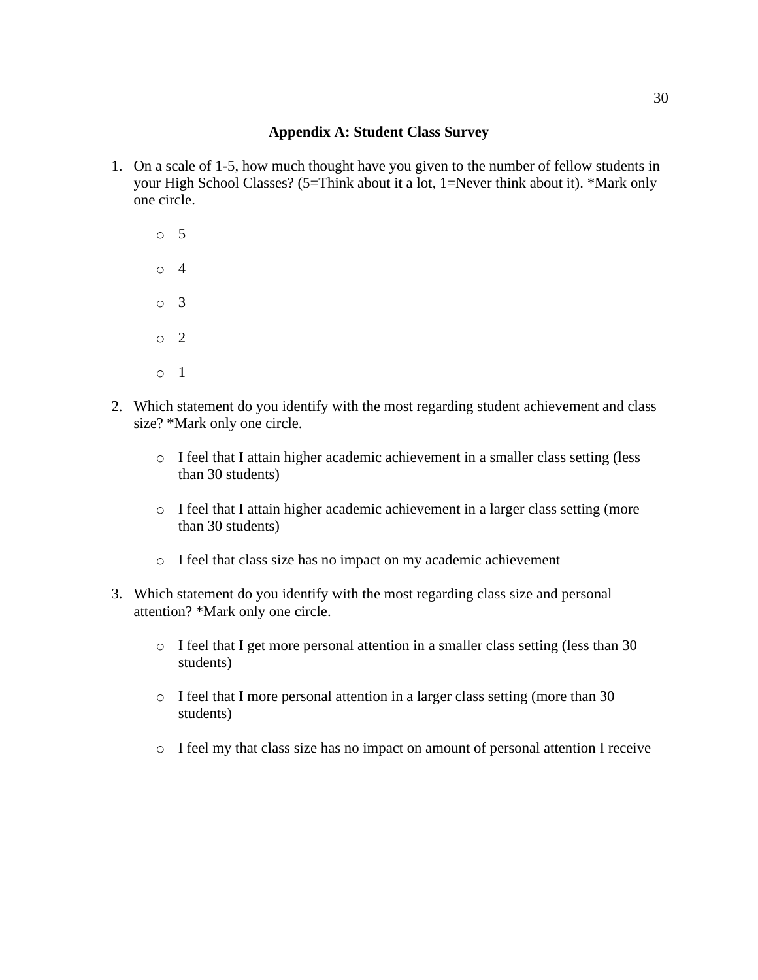# **Appendix A: Student Class Survey**

1. On a scale of 1-5, how much thought have you given to the number of fellow students in your High School Classes? (5=Think about it a lot, 1=Never think about it). \*Mark only one circle.

o 5 o 4 o 3  $\circ$  2 o 1

- 2. Which statement do you identify with the most regarding student achievement and class size? \*Mark only one circle.
	- o I feel that I attain higher academic achievement in a smaller class setting (less than 30 students)
	- o I feel that I attain higher academic achievement in a larger class setting (more than 30 students)
	- o I feel that class size has no impact on my academic achievement
- 3. Which statement do you identify with the most regarding class size and personal attention? \*Mark only one circle.
	- o I feel that I get more personal attention in a smaller class setting (less than 30 students)
	- o I feel that I more personal attention in a larger class setting (more than 30 students)
	- o I feel my that class size has no impact on amount of personal attention I receive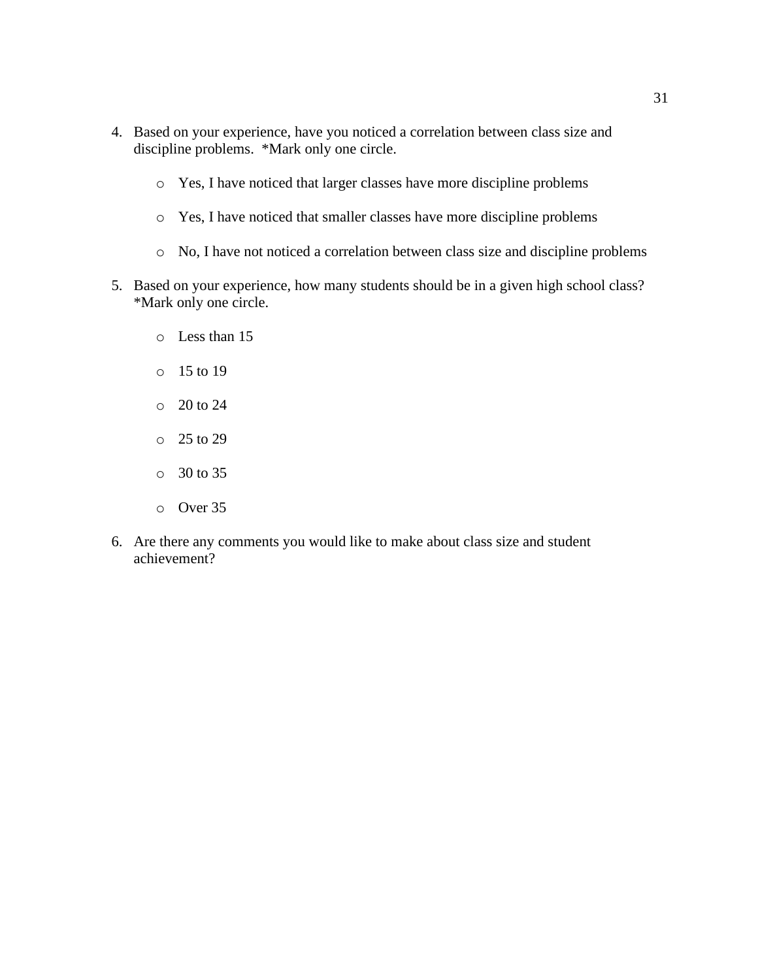- 4. Based on your experience, have you noticed a correlation between class size and discipline problems. \*Mark only one circle.
	- o Yes, I have noticed that larger classes have more discipline problems
	- o Yes, I have noticed that smaller classes have more discipline problems
	- o No, I have not noticed a correlation between class size and discipline problems
- 5. Based on your experience, how many students should be in a given high school class? \*Mark only one circle.
	- o Less than 15
	- o 15 to 19
	- o 20 to 24
	- o 25 to 29
	- o 30 to 35
	- o Over 35
- 6. Are there any comments you would like to make about class size and student achievement?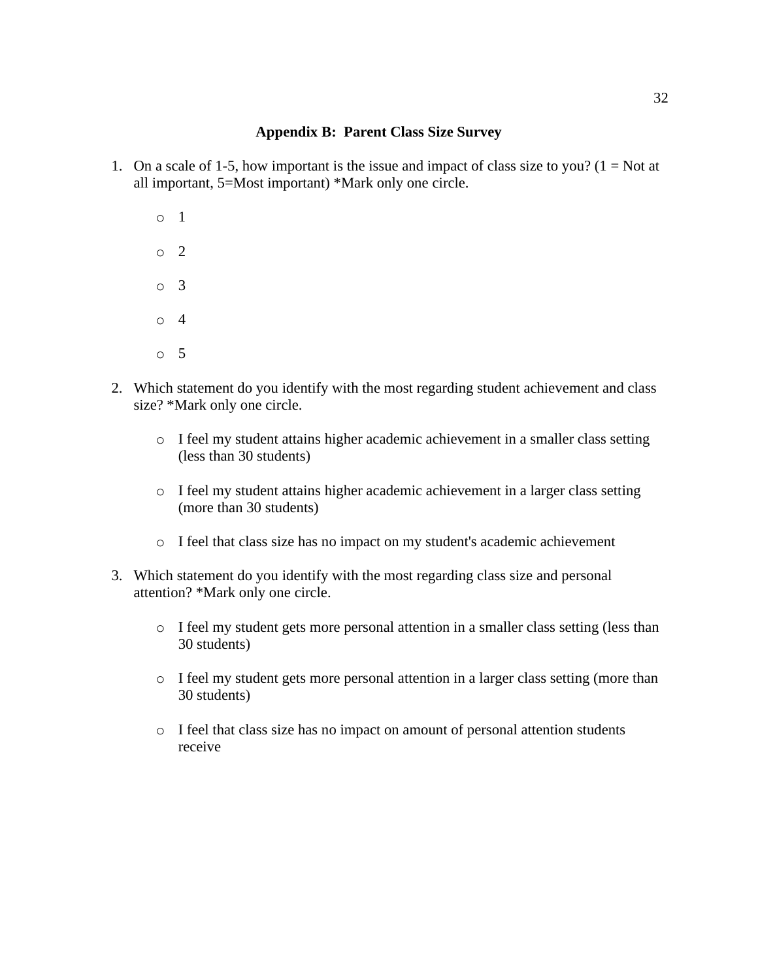# **Appendix B: Parent Class Size Survey**

- 1. On a scale of 1-5, how important is the issue and impact of class size to you? ( $1 = Not$  at all important, 5=Most important) \*Mark only one circle.
	- o 1 o 2 o 3 o 4 o 5
- 2. Which statement do you identify with the most regarding student achievement and class size? \*Mark only one circle.
	- o I feel my student attains higher academic achievement in a smaller class setting (less than 30 students)
	- o I feel my student attains higher academic achievement in a larger class setting (more than 30 students)
	- o I feel that class size has no impact on my student's academic achievement
- 3. Which statement do you identify with the most regarding class size and personal attention? \*Mark only one circle.
	- o I feel my student gets more personal attention in a smaller class setting (less than 30 students)
	- o I feel my student gets more personal attention in a larger class setting (more than 30 students)
	- o I feel that class size has no impact on amount of personal attention students receive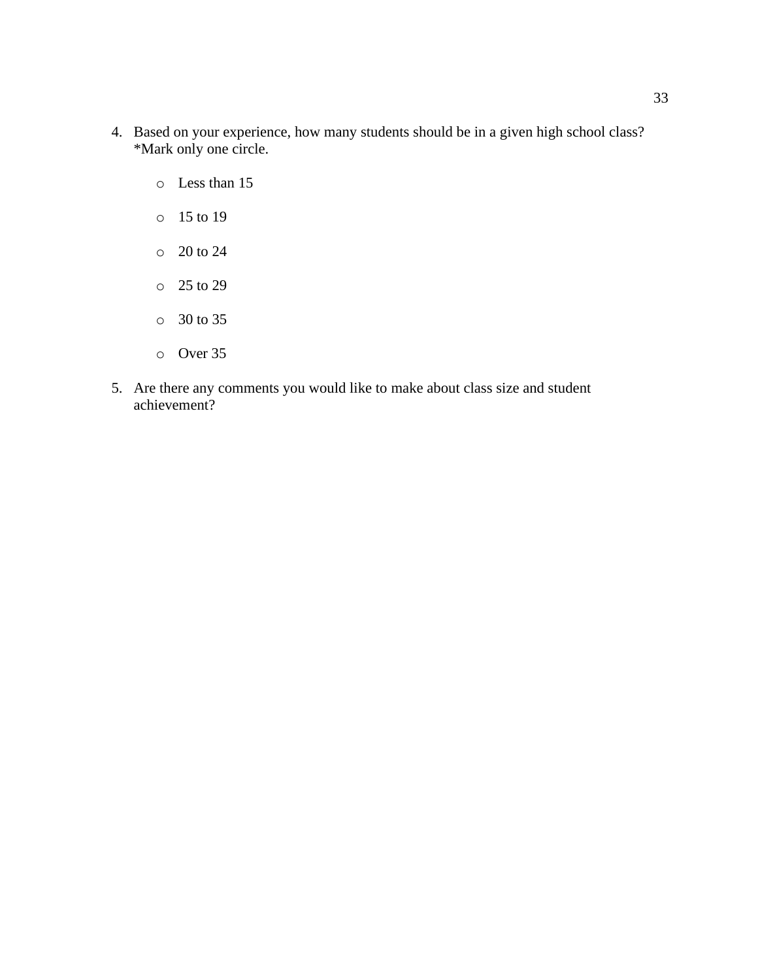- 4. Based on your experience, how many students should be in a given high school class? \*Mark only one circle.
	- o Less than 15
	- o 15 to 19
	- o 20 to 24
	- o 25 to 29
	- o 30 to 35
	- o Over 35
- 5. Are there any comments you would like to make about class size and student achievement?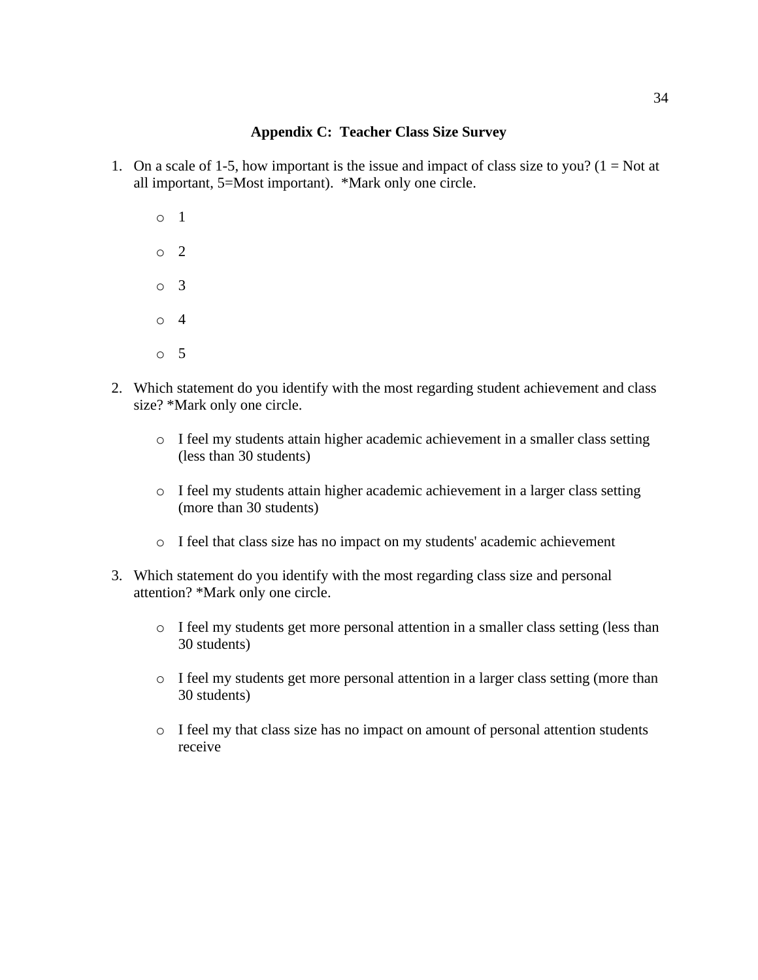# **Appendix C: Teacher Class Size Survey**

- 1. On a scale of 1-5, how important is the issue and impact of class size to you? ( $1 = Not$  at all important, 5=Most important). \*Mark only one circle.
	- o 1 o 2 o 3 o 4 o 5
- 2. Which statement do you identify with the most regarding student achievement and class size? \*Mark only one circle.
	- o I feel my students attain higher academic achievement in a smaller class setting (less than 30 students)
	- o I feel my students attain higher academic achievement in a larger class setting (more than 30 students)
	- o I feel that class size has no impact on my students' academic achievement
- 3. Which statement do you identify with the most regarding class size and personal attention? \*Mark only one circle.
	- o I feel my students get more personal attention in a smaller class setting (less than 30 students)
	- o I feel my students get more personal attention in a larger class setting (more than 30 students)
	- o I feel my that class size has no impact on amount of personal attention students receive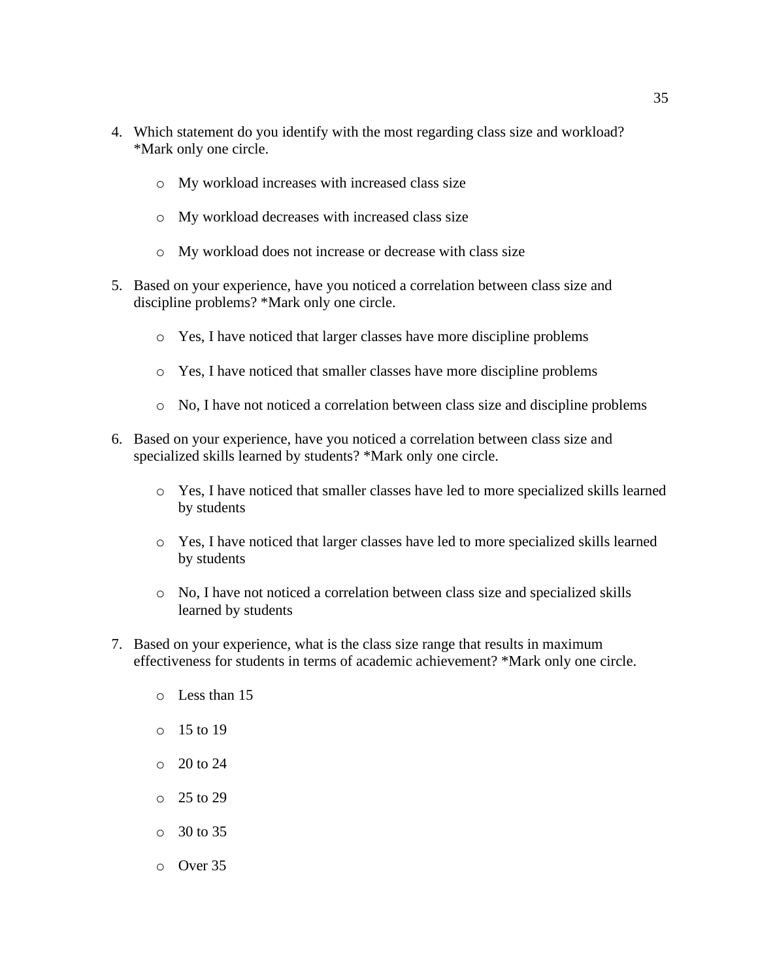- 4. Which statement do you identify with the most regarding class size and workload? \*Mark only one circle.
	- o My workload increases with increased class size
	- o My workload decreases with increased class size
	- o My workload does not increase or decrease with class size
- 5. Based on your experience, have you noticed a correlation between class size and discipline problems? \*Mark only one circle.
	- o Yes, I have noticed that larger classes have more discipline problems
	- o Yes, I have noticed that smaller classes have more discipline problems
	- o No, I have not noticed a correlation between class size and discipline problems
- 6. Based on your experience, have you noticed a correlation between class size and specialized skills learned by students? \*Mark only one circle.
	- o Yes, I have noticed that smaller classes have led to more specialized skills learned by students
	- o Yes, I have noticed that larger classes have led to more specialized skills learned by students
	- o No, I have not noticed a correlation between class size and specialized skills learned by students
- 7. Based on your experience, what is the class size range that results in maximum effectiveness for students in terms of academic achievement? \*Mark only one circle.
	- o Less than 15
	- o 15 to 19
	- o 20 to 24
	- o 25 to 29
	- o 30 to 35

o Over 35